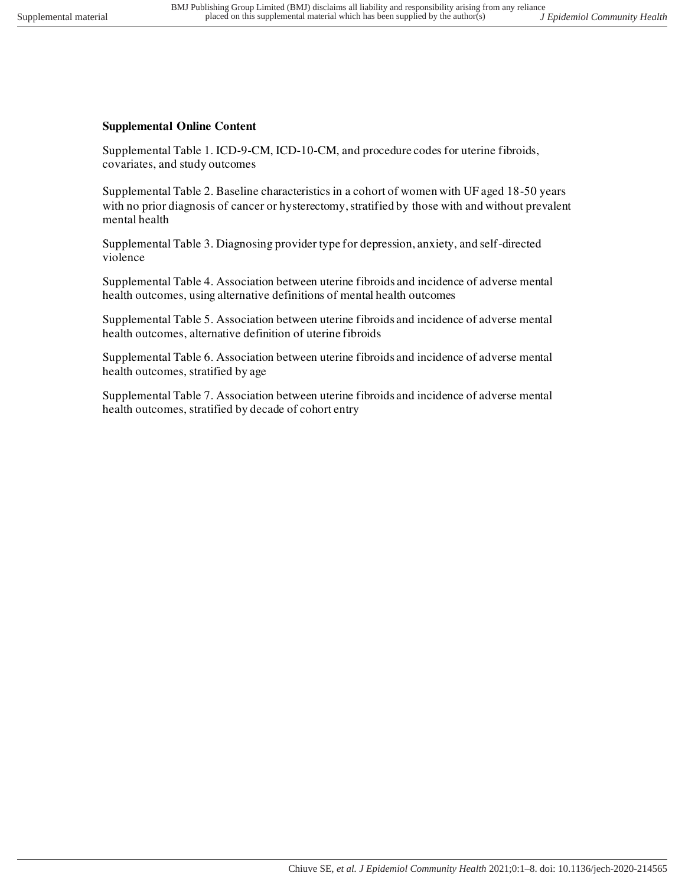## **Supplemental Online Content**

Supplemental Table 1. ICD-9-CM, ICD-10-CM, and procedure codes for uterine fibroids, covariates, and study outcomes

Supplemental Table 2. Baseline characteristics in a cohort of women with UF aged 18-50 years with no prior diagnosis of cancer or hysterectomy, stratified by those with and without prevalent mental health

Supplemental Table 3. Diagnosing provider type for depression, anxiety, and self-directed violence

Supplemental Table 4. Association between uterine fibroids and incidence of adverse mental health outcomes, using alternative definitions of mental health outcomes

Supplemental Table 5. Association between uterine fibroids and incidence of adverse mental health outcomes, alternative definition of uterine fibroids

Supplemental Table 6. Association between uterine fibroids and incidence of adverse mental health outcomes, stratified by age

Supplemental Table 7. Association between uterine fibroids and incidence of adverse mental health outcomes, stratified by decade of cohort entry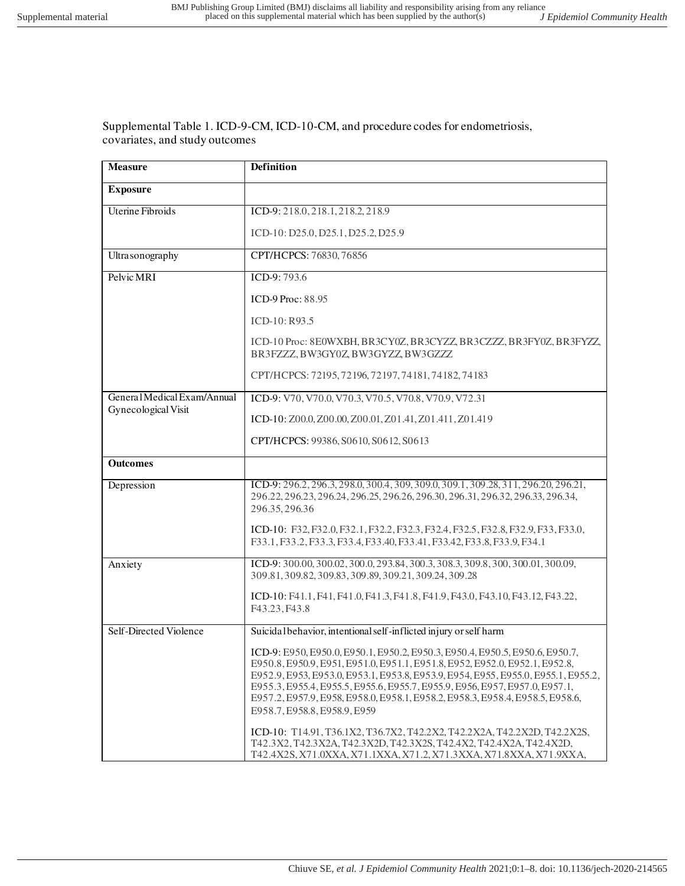Supplemental Table 1. ICD-9-CM, ICD-10-CM, and procedure codes for endometriosis, covariates, and study outcomes

| <b>Measure</b>              | <b>Definition</b>                                                                                                                                                                                                                                                                                                                                                                                                                                |
|-----------------------------|--------------------------------------------------------------------------------------------------------------------------------------------------------------------------------------------------------------------------------------------------------------------------------------------------------------------------------------------------------------------------------------------------------------------------------------------------|
| <b>Exposure</b>             |                                                                                                                                                                                                                                                                                                                                                                                                                                                  |
| <b>Uterine Fibroids</b>     | ICD-9: 218.0, 218.1, 218.2, 218.9                                                                                                                                                                                                                                                                                                                                                                                                                |
|                             | ICD-10: D25.0, D25.1, D25.2, D25.9                                                                                                                                                                                                                                                                                                                                                                                                               |
| Ultra sonography            | CPT/HCPCS: 76830, 76856                                                                                                                                                                                                                                                                                                                                                                                                                          |
| Pelvic MRI                  | ICD-9:793.6                                                                                                                                                                                                                                                                                                                                                                                                                                      |
|                             | ICD-9 Proc: 88.95                                                                                                                                                                                                                                                                                                                                                                                                                                |
|                             | ICD-10: R93.5                                                                                                                                                                                                                                                                                                                                                                                                                                    |
|                             | ICD-10 Proc: 8E0WXBH, BR3CY0Z, BR3CYZZ, BR3CZZZ, BR3FY0Z, BR3FYZZ,<br>BR3FZZZ, BW3GY0Z, BW3GYZZ, BW3GZZZ                                                                                                                                                                                                                                                                                                                                         |
|                             | CPT/HCPCS: 72195, 72196, 72197, 74181, 74182, 74183                                                                                                                                                                                                                                                                                                                                                                                              |
| General Medical Exam/Annual | ICD-9: V70, V70.0, V70.3, V70.5, V70.8, V70.9, V72.31                                                                                                                                                                                                                                                                                                                                                                                            |
| Gynecological Visit         | ICD-10: Z00.0, Z00.00, Z00.01, Z01.41, Z01.411, Z01.419                                                                                                                                                                                                                                                                                                                                                                                          |
|                             | CPT/HCPCS: 99386, S0610, S0612, S0613                                                                                                                                                                                                                                                                                                                                                                                                            |
| <b>Outcomes</b>             |                                                                                                                                                                                                                                                                                                                                                                                                                                                  |
| Depression                  | ICD-9: 296.2, 296.3, 298.0, 300.4, 309, 309.0, 309.1, 309.28, 311, 296.20, 296.21,<br>296.22, 296.23, 296.24, 296.25, 296.26, 296.30, 296.31, 296.32, 296.33, 296.34,<br>296.35, 296.36                                                                                                                                                                                                                                                          |
|                             | ICD-10: F32, F32.0, F32.1, F32.2, F32.3, F32.4, F32.5, F32.8, F32.9, F33, F33.0,<br>F33.1, F33.2, F33.3, F33.4, F33.40, F33.41, F33.42, F33.8, F33.9, F34.1                                                                                                                                                                                                                                                                                      |
| Anxiety                     | ICD-9: 300.00, 300.02, 300.0, 293.84, 300.3, 308.3, 309.8, 300, 300.01, 300.09,<br>309.81, 309.82, 309.83, 309.89, 309.21, 309.24, 309.28                                                                                                                                                                                                                                                                                                        |
|                             | ICD-10: F41.1, F41, F41.0, F41.3, F41.8, F41.9, F43.0, F43.10, F43.12, F43.22,<br>F43.23, F43.8                                                                                                                                                                                                                                                                                                                                                  |
| Self-Directed Violence      | Suicidal behavior, intentional self-inflicted injury or self harm                                                                                                                                                                                                                                                                                                                                                                                |
|                             | ICD-9: E950, E950.0, E950.1, E950.2, E950.3, E950.4, E950.5, E950.6, E950.7,<br>E950.8, E950.9, E951, E951.0, E951.1, E951.8, E952, E952.0, E952.1, E952.8,<br>E952.9, E953, E953.0, E953.1, E953.8, E953.9, E954, E955, E955.0, E955.1, E955.2,<br>E955.3, E955.4, E955.5, E955.6, E955.7, E955.9, E956, E957, E957.0, E957.1,<br>E957.2, E957.9, E958, E958.0, E958.1, E958.2, E958.3, E958.4, E958.5, E958.6,<br>E958.7, E958.8, E958.9, E959 |
|                             | ICD-10: T14.91, T36.1X2, T36.7X2, T42.2X2, T42.2X2A, T42.2X2D, T42.2X2S,<br>T42.3X2, T42.3X2A, T42.3X2D, T42.3X2S, T42.4X2, T42.4X2A, T42.4X2D,<br>T42.4X2S, X71.0XXA, X71.1XXA, X71.2, X71.3XXA, X71.8XXA, X71.9XXA,                                                                                                                                                                                                                            |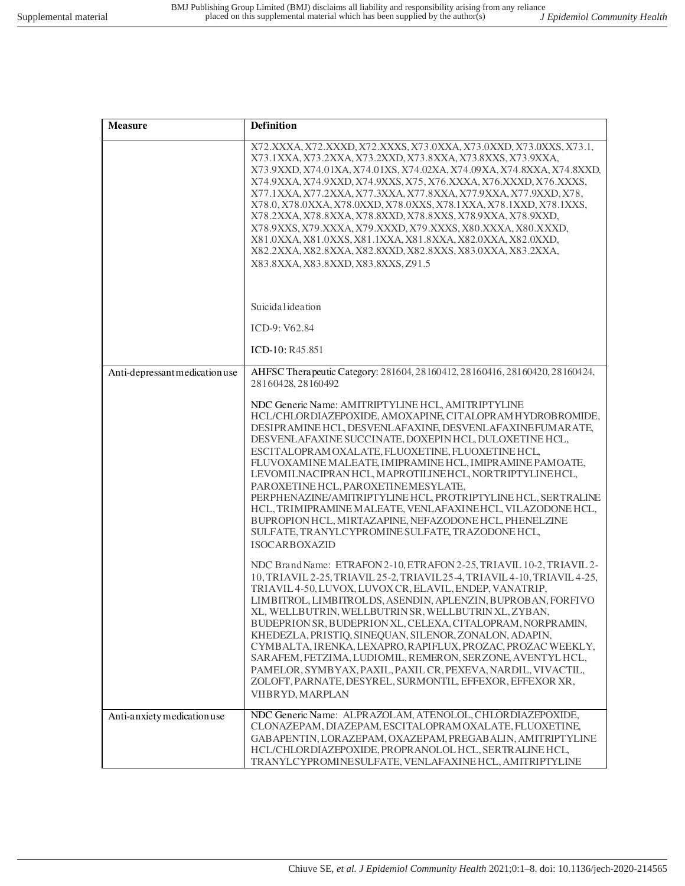| <b>Measure</b>                 | <b>Definition</b>                                                                                                                                                                                                                                                                                                                                                                                                                                                                                                                                                                                                                                                                                                                          |
|--------------------------------|--------------------------------------------------------------------------------------------------------------------------------------------------------------------------------------------------------------------------------------------------------------------------------------------------------------------------------------------------------------------------------------------------------------------------------------------------------------------------------------------------------------------------------------------------------------------------------------------------------------------------------------------------------------------------------------------------------------------------------------------|
|                                | X72.XXXA, X72.XXXD, X72.XXXS, X73.0XXA, X73.0XXD, X73.0XXS, X73.1,<br>X73.1XXA, X73.2XXA, X73.2XXD, X73.8XXA, X73.8XXS, X73.9XXA,<br>X73.9XXD, X74.01XA, X74.01XS, X74.02XA, X74.09XA, X74.8XXA, X74.8XXD,<br>X74.9XXA, X74.9XXD, X74.9XXS, X75, X76.XXXA, X76.XXXD, X76.XXXS,<br>X77.1XXA, X77.2XXA, X77.3XXA, X77.8XXA, X77.9XXA, X77.9XXD, X78,<br>X78.0, X78.0XXA, X78.0XXD, X78.0XXS, X78.1XXA, X78.1XXD, X78.1XXS,<br>X78.2XXA, X78.8XXA, X78.8XXD, X78.8XXS, X78.9XXA, X78.9XXD,<br>X78.9XXS, X79.XXXA, X79.XXXD, X79.XXXS, X80.XXXA, X80.XXXD,<br>X81.0XXA, X81.0XXS, X81.1XXA, X81.8XXA, X82.0XXA, X82.0XXD,<br>X82.2XXA, X82.8XXA, X82.8XXD, X82.8XXS, X83.0XXA, X83.2XXA,<br>X83.8XXA, X83.8XXD, X83.8XXS, Z91.5                |
|                                | Suicidal ideation                                                                                                                                                                                                                                                                                                                                                                                                                                                                                                                                                                                                                                                                                                                          |
|                                | ICD-9: V62.84                                                                                                                                                                                                                                                                                                                                                                                                                                                                                                                                                                                                                                                                                                                              |
|                                | ICD-10: R45.851                                                                                                                                                                                                                                                                                                                                                                                                                                                                                                                                                                                                                                                                                                                            |
| Anti-depressant medication use | AHFSC Therapeutic Category: 281604, 28160412, 28160416, 28160420, 28160424,<br>28160428, 28160492                                                                                                                                                                                                                                                                                                                                                                                                                                                                                                                                                                                                                                          |
|                                | NDC Generic Name: AMITRIPTYLINE HCL, AMITRIPTYLINE<br>HCL/CHLORDIAZEPOXIDE, AMOXAPINE, CITALOPRAMHYDROBROMIDE,<br>DESIPRAMINE HCL, DESVENLAFAXINE, DESVENLAFAXINE FUMARATE,<br>DESVENLAFAXINE SUCCINATE, DOXEPIN HCL, DULOXETINE HCL,<br>ESCITALOPRAMOXALATE, FLUOXETINE, FLUOXETINE HCL,<br>FLUVOXAMINE MALEATE, IMIPRAMINE HCL, IMIPRAMINE PAMOATE,<br>LEVOMILNACIPRANHCL, MAPROTILINEHCL, NORTRIPTYLINEHCL,<br>PAROXETINE HCL, PAROXETINEMESYLATE,<br>PERPHENAZINE/AMITRIPTYLINE HCL, PROTRIPTYLINE HCL, SERTRALINE<br>HCL, TRIMIPRAMINE MALEATE, VENLAFAXINEHCL, VILAZODONE HCL,<br>BUPROPION HCL, MIRTAZAPINE, NEFAZODONE HCL, PHENELZINE<br>SULFATE, TRANYLCYPROMINE SULFATE, TRAZODONE HCL,<br><b>ISOCARBOXAZID</b>                 |
|                                | NDC Brand Name: ETRAFON 2-10, ETRAFON 2-25, TRIAVIL 10-2, TRIAVIL 2-<br>10, TRIAVIL 2-25, TRIAVIL 25-2, TRIAVIL 25-4, TRIAVIL 4-10, TRIAVIL 4-25,<br>TRIAVIL 4-50, LUVOX, LUVOX CR, ELAVIL, ENDEP, VANATRIP,<br>LIMBITROL, LIMBITROLDS, ASENDIN, APLENZIN, BUPROBAN, FORFIVO<br>XL, WELLBUTRIN, WELLBUTRIN SR, WELLBUTRIN XL, ZYBAN,<br>BUDEPRION SR, BUDEPRION XL, CELEXA, CITALOPRAM, NORPRAMIN,<br>KHEDEZLA, PRISTIQ, SINEQUAN, SILENOR, ZONALON, ADAPIN,<br>CYMBALTA, IRENKA, LEXAPRO, RAPIFLUX, PROZAC, PROZAC WEEKLY,<br>SARAFEM, FETZIMA, LUDIOMIL, REMERON, SERZONE, AVENTYL HCL,<br>PAMELOR, SYMBYAX, PAXIL, PAXIL CR, PEXEVA, NARDIL, VIVACTIL,<br>ZOLOFT, PARNATE, DESYREL, SURMONTIL, EFFEXOR, EFFEXOR XR,<br>VIIBRYD, MARPLAN |
| Anti-anxiety medication use    | NDC Generic Name: ALPRAZOLAM, ATENOLOL, CHLORDIAZEPOXIDE,<br>CLONAZEPAM, DIAZEPAM, ESCITALOPRAM OXALATE, FLUOXETINE,<br>GABAPENTIN, LORAZEPAM, OXAZEPAM, PREGABALIN, AMITRIPTYLINE<br>HCL/CHLORDIAZEPOXIDE, PROPRANOLOL HCL, SERTRALINE HCL,<br>TRANYLCYPROMINE SULFATE, VENLAFAXINE HCL, AMITRIPTYLINE                                                                                                                                                                                                                                                                                                                                                                                                                                    |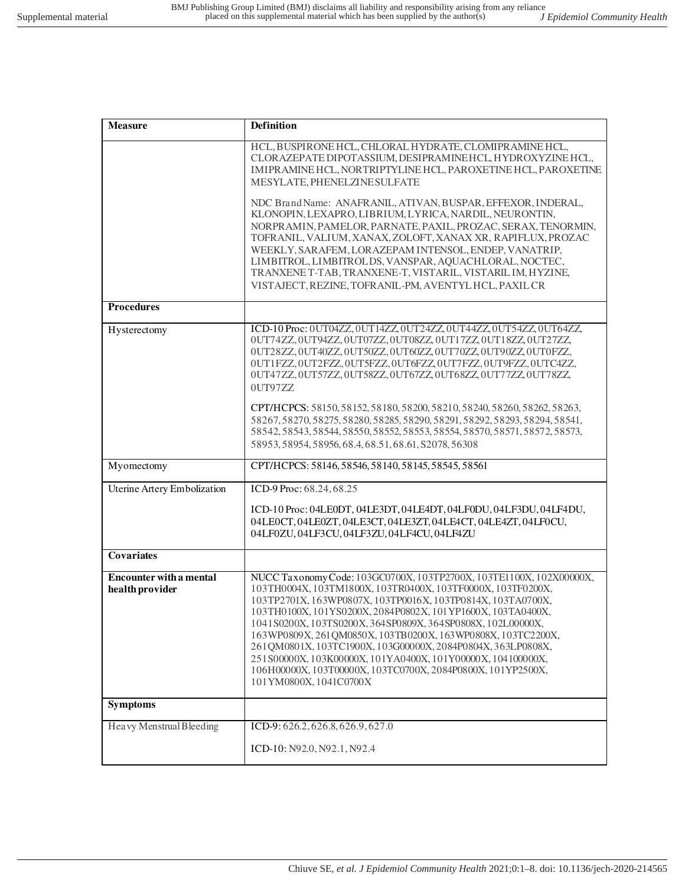| <b>Measure</b>                                    | <b>Definition</b>                                                                                                                                                                                                                                                                                                                                                                                                                                                                                                                                                                                                                                           |
|---------------------------------------------------|-------------------------------------------------------------------------------------------------------------------------------------------------------------------------------------------------------------------------------------------------------------------------------------------------------------------------------------------------------------------------------------------------------------------------------------------------------------------------------------------------------------------------------------------------------------------------------------------------------------------------------------------------------------|
|                                                   | HCL, BUSPIRONE HCL, CHLORAL HYDRATE, CLOMIPRAMINE HCL,<br>CLORAZEPATE DIPOTASSIUM, DESIPRAMINEHCL, HYDROXYZINEHCL,<br>IMIPRAMINE HCL, NORTRIPTYLINE HCL, PAROXETINE HCL, PAROXETINE<br>MESYLATE, PHENELZINE SULFATE                                                                                                                                                                                                                                                                                                                                                                                                                                         |
|                                                   | NDC Brand Name: ANAFRANIL, ATIVAN, BUSPAR, EFFEXOR, INDERAL,<br>KLONOPIN, LEXAPRO, LIBRIUM, LYRICA, NARDIL, NEURONTIN,<br>NORPRAMIN, PAMELOR, PARNATE, PAXIL, PROZAC, SERAX, TENORMIN,<br>TOFRANIL, VALIUM, XANAX, ZOLOFT, XANAX XR, RAPIFLUX, PROZAC<br>WEEKLY, SARAFEM, LORAZEPAM INTENSOL, ENDEP, VANATRIP,<br>LIMBITROL, LIMBITROLDS, VANSPAR, AQUACHLORAL, NOCTEC,<br>TRANXENE T-TAB, TRANXENE-T, VISTARIL, VISTARIL IM, HYZINE,<br>VISTAJECT, REZINE, TOFRANIL-PM, AVENTYL HCL, PAXIL CR                                                                                                                                                              |
| <b>Procedures</b>                                 |                                                                                                                                                                                                                                                                                                                                                                                                                                                                                                                                                                                                                                                             |
| Hysterectomy                                      | ICD-10 Proc: 0UT04ZZ, 0UT14ZZ, 0UT24ZZ, 0UT44ZZ, 0UT54ZZ, 0UT64ZZ,<br>0UT74ZZ, 0UT94ZZ, 0UT07ZZ, 0UT08ZZ, 0UT17ZZ, 0UT18ZZ, 0UT27ZZ,<br>0UT28ZZ, 0UT40ZZ, 0UT50ZZ, 0UT60ZZ, 0UT70ZZ, 0UT90ZZ, 0UT0FZZ,<br>0UT1FZZ, 0UT2FZZ, 0UT5FZZ, 0UT6FZZ, 0UT7FZZ, 0UT9FZZ, 0UTC4ZZ,<br>0UT47ZZ, 0UT57ZZ, 0UT58ZZ, 0UT67ZZ, 0UT68ZZ, 0UT77ZZ, 0UT78ZZ,<br>0UT97ZZ<br>CPT/HCPCS: 58150, 58152, 58180, 58200, 58210, 58240, 58260, 58262, 58263,<br>58267, 58270, 58275, 58280, 58285, 58290, 58291, 58292, 58293, 58294, 58541,<br>58542, 58543, 58544, 58550, 58552, 58553, 58554, 58570, 58571, 58572, 58573,<br>58953, 58954, 58956, 68.4, 68.51, 68.61, S2078, 56308 |
| Myomectomy                                        | CPT/HCPCS: 58146, 58546, 58140, 58145, 58545, 58561                                                                                                                                                                                                                                                                                                                                                                                                                                                                                                                                                                                                         |
| Uterine Artery Embolization                       | ICD-9 Proc: 68.24, 68.25                                                                                                                                                                                                                                                                                                                                                                                                                                                                                                                                                                                                                                    |
|                                                   | ICD-10 Proc: 04LE0DT, 04LE3DT, 04LE4DT, 04LF0DU, 04LF3DU, 04LF4DU,<br>04LE0CT, 04LE0ZT, 04LE3CT, 04LE3ZT, 04LE4CT, 04LE4ZT, 04LF0CU,<br>04LF0ZU, 04LF3CU, 04LF3ZU, 04LF4CU, 04LF4ZU                                                                                                                                                                                                                                                                                                                                                                                                                                                                         |
| <b>Covariates</b>                                 |                                                                                                                                                                                                                                                                                                                                                                                                                                                                                                                                                                                                                                                             |
| <b>Encounter with a mental</b><br>health provider | NUCC Taxonomy Code: 103GC0700X, 103TP2700X, 103TE1100X, 102X00000X,<br>103TH0004X, 103TM1800X, 103TR0400X, 103TF0000X, 103TF0200X,<br>103TP2701X, 163WP0807X, 103TP0016X, 103TP0814X, 103TA0700X,<br>103TH0100X, 101YS0200X, 2084P0802X, 101YP1600X, 103TA0400X,<br>1041S0200X, 103TS0200X, 364SP0809X, 364SP0808X, 102L00000X,<br>163WP0809X, 261QM0850X, 103TB0200X, 163WP0808X, 103TC2200X,<br>261QM0801X, 103TC1900X, 103G00000X, 2084P0804X, 363LP0808X,<br>251 S00000X, 103 K00000X, 101 YA0400X, 101 Y00000X, 104 100000X,<br>106H00000X, 103T00000X, 103TC0700X, 2084P0800X, 101YP2500X,<br>101YM0800X, 1041C0700X                                  |
| <b>Symptoms</b>                                   |                                                                                                                                                                                                                                                                                                                                                                                                                                                                                                                                                                                                                                                             |
| Heavy Menstrual Bleeding                          | ICD-9: 626.2, 626.8, 626.9, 627.0                                                                                                                                                                                                                                                                                                                                                                                                                                                                                                                                                                                                                           |
|                                                   | ICD-10: N92.0, N92.1, N92.4                                                                                                                                                                                                                                                                                                                                                                                                                                                                                                                                                                                                                                 |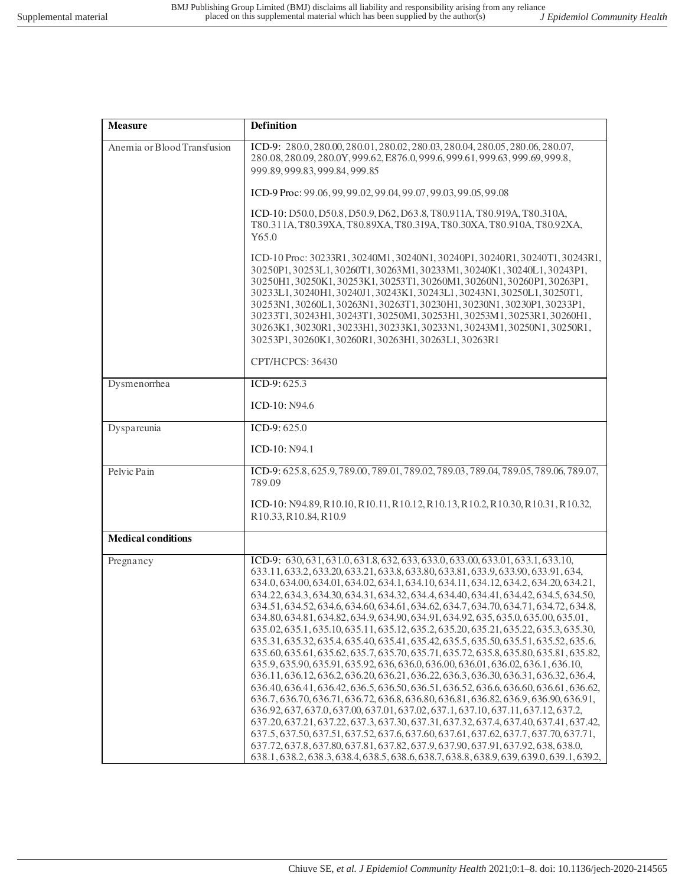| <b>Measure</b>              | <b>Definition</b>                                                                                                                                                                                                                                                                                                                                                                                                                                                                                                                                                                                                                                                                                                                                                                                                                                                                                                                                                                                                                                                                                                                                                                                                                                                                                                                                                                                                                                                                                                                                                                                                               |
|-----------------------------|---------------------------------------------------------------------------------------------------------------------------------------------------------------------------------------------------------------------------------------------------------------------------------------------------------------------------------------------------------------------------------------------------------------------------------------------------------------------------------------------------------------------------------------------------------------------------------------------------------------------------------------------------------------------------------------------------------------------------------------------------------------------------------------------------------------------------------------------------------------------------------------------------------------------------------------------------------------------------------------------------------------------------------------------------------------------------------------------------------------------------------------------------------------------------------------------------------------------------------------------------------------------------------------------------------------------------------------------------------------------------------------------------------------------------------------------------------------------------------------------------------------------------------------------------------------------------------------------------------------------------------|
| Anemia or Blood Transfusion | ICD-9: 280.0, 280.00, 280.01, 280.02, 280.03, 280.04, 280.05, 280.06, 280.07,<br>280.08, 280.09, 280.0Y, 999.62, E876.0, 999.6, 999.61, 999.63, 999.69, 999.8,<br>999.89, 999.83, 999.84, 999.85                                                                                                                                                                                                                                                                                                                                                                                                                                                                                                                                                                                                                                                                                                                                                                                                                                                                                                                                                                                                                                                                                                                                                                                                                                                                                                                                                                                                                                |
|                             | ICD-9 Proc: 99.06, 99, 99.02, 99.04, 99.07, 99.03, 99.05, 99.08                                                                                                                                                                                                                                                                                                                                                                                                                                                                                                                                                                                                                                                                                                                                                                                                                                                                                                                                                                                                                                                                                                                                                                                                                                                                                                                                                                                                                                                                                                                                                                 |
|                             | ICD-10: D50.0, D50.8, D50.9, D62, D63.8, T80.911A, T80.919A, T80.310A,<br>T80.311A, T80.39XA, T80.89XA, T80.319A, T80.30XA, T80.910A, T80.92XA,<br>Y65.0                                                                                                                                                                                                                                                                                                                                                                                                                                                                                                                                                                                                                                                                                                                                                                                                                                                                                                                                                                                                                                                                                                                                                                                                                                                                                                                                                                                                                                                                        |
|                             | ICD-10 Proc: 30233R1, 30240M1, 30240N1, 30240P1, 30240R1, 30240T1, 30243R1,<br>30250P1, 30253L1, 30260T1, 30263M1, 30233M1, 30240K1, 30240L1, 30243P1,<br>30250H1, 30250K1, 30253K1, 30253T1, 30260M1, 30260N1, 30260P1, 30263P1,<br>30233L1, 30240H1, 30240J1, 30243K1, 30243L1, 30243N1, 30250L1, 30250T1,<br>30253N1, 30260L1, 30263N1, 30263T1, 30230H1, 30230N1, 30230P1, 30233P1,<br>30233T1, 30243H1, 30243T1, 30250M1, 30253H1, 30253M1, 30253R1, 30260H1,<br>30263K1, 30230R1, 30233H1, 30233K1, 30233N1, 30243M1, 30250N1, 30250R1,<br>30253P1, 30260K1, 30260R1, 30263H1, 30263L1, 30263R1                                                                                                                                                                                                                                                                                                                                                                                                                                                                                                                                                                                                                                                                                                                                                                                                                                                                                                                                                                                                                           |
|                             | CPT/HCPCS: 36430                                                                                                                                                                                                                                                                                                                                                                                                                                                                                                                                                                                                                                                                                                                                                                                                                                                                                                                                                                                                                                                                                                                                                                                                                                                                                                                                                                                                                                                                                                                                                                                                                |
| Dysmenorrhea                | ICD-9: $625.3$                                                                                                                                                                                                                                                                                                                                                                                                                                                                                                                                                                                                                                                                                                                                                                                                                                                                                                                                                                                                                                                                                                                                                                                                                                                                                                                                                                                                                                                                                                                                                                                                                  |
|                             | ICD-10: N94.6                                                                                                                                                                                                                                                                                                                                                                                                                                                                                                                                                                                                                                                                                                                                                                                                                                                                                                                                                                                                                                                                                                                                                                                                                                                                                                                                                                                                                                                                                                                                                                                                                   |
| Dyspareunia                 | ICD-9: $625.0$                                                                                                                                                                                                                                                                                                                                                                                                                                                                                                                                                                                                                                                                                                                                                                                                                                                                                                                                                                                                                                                                                                                                                                                                                                                                                                                                                                                                                                                                                                                                                                                                                  |
|                             | ICD-10: N94.1                                                                                                                                                                                                                                                                                                                                                                                                                                                                                                                                                                                                                                                                                                                                                                                                                                                                                                                                                                                                                                                                                                                                                                                                                                                                                                                                                                                                                                                                                                                                                                                                                   |
| Pelvic Pain                 | ICD-9: 625.8, 625.9, 789.00, 789.01, 789.02, 789.03, 789.04, 789.05, 789.06, 789.07,<br>789.09                                                                                                                                                                                                                                                                                                                                                                                                                                                                                                                                                                                                                                                                                                                                                                                                                                                                                                                                                                                                                                                                                                                                                                                                                                                                                                                                                                                                                                                                                                                                  |
|                             | ICD-10: N94.89, R10.10, R10.11, R10.12, R10.13, R10.2, R10.30, R10.31, R10.32,<br>R10.33, R10.84, R10.9                                                                                                                                                                                                                                                                                                                                                                                                                                                                                                                                                                                                                                                                                                                                                                                                                                                                                                                                                                                                                                                                                                                                                                                                                                                                                                                                                                                                                                                                                                                         |
| <b>Medical conditions</b>   |                                                                                                                                                                                                                                                                                                                                                                                                                                                                                                                                                                                                                                                                                                                                                                                                                                                                                                                                                                                                                                                                                                                                                                                                                                                                                                                                                                                                                                                                                                                                                                                                                                 |
| Pregnancy                   | ICD-9: 630, 631, 631.0, 631.8, 632, 633, 633.0, 633.00, 633.01, 633.1, 633.10,<br>633.11, 633.2, 633.20, 633.21, 633.8, 633.80, 633.81, 633.9, 633.90, 633.91, 634,<br>634.0, 634.00, 634.01, 634.02, 634.1, 634.10, 634.11, 634.12, 634.2, 634.20, 634.21,<br>634.22, 634.3, 634.30, 634.31, 634.32, 634.4, 634.40, 634.41, 634.42, 634.5, 634.50,<br>634.51, 634.52, 634.6, 634.60, 634.61, 634.62, 634.7, 634.70, 634.71, 634.72, 634.8,<br>634.80, 634.81, 634.82, 634.9, 634.90, 634.91, 634.92, 635, 635.0, 635.00, 635.01,<br>635.02, 635.1, 635.10, 635.11, 635.12, 635.2, 635.20, 635.21, 635.22, 635.3, 635.30,<br>635.31, 635.32, 635.4, 635.40, 635.41, 635.42, 635.5, 635.50, 635.51, 635.52, 635.6,<br>635.60, 635.61, 635.62, 635.7, 635.70, 635.71, 635.72, 635.8, 635.80, 635.81, 635.82,<br>635.9, 635.90, 635.91, 635.92, 636, 636.0, 636.00, 636.01, 636.02, 636.1, 636.10,<br>636.11, 636.12, 636.2, 636.20, 636.21, 636.22, 636.3, 636.30, 636.31, 636.32, 636.4,<br>636.40, 636.41, 636.42, 636.5, 636.50, 636.51, 636.52, 636.6, 636.60, 636.61, 636.62,<br>636.7, 636.70, 636.71, 636.72, 636.8, 636.80, 636.81, 636.82, 636.9, 636.90, 636.91,<br>636.92, 637, 637.0, 637.00, 637.01, 637.02, 637.1, 637.10, 637.11, 637.12, 637.2,<br>637.20, 637.21, 637.22, 637.3, 637.30, 637.31, 637.32, 637.4, 637.40, 637.41, 637.42,<br>637.5, 637.50, 637.51, 637.52, 637.6, 637.60, 637.61, 637.62, 637.7, 637.70, 637.71,<br>637.72, 637.8, 637.80, 637.81, 637.82, 637.9, 637.90, 637.91, 637.92, 638, 638.0,<br>638.1, 638.2, 638.3, 638.4, 638.5, 638.6, 638.7, 638.8, 638.9, 639, 639.0, 639.1, 639.2, |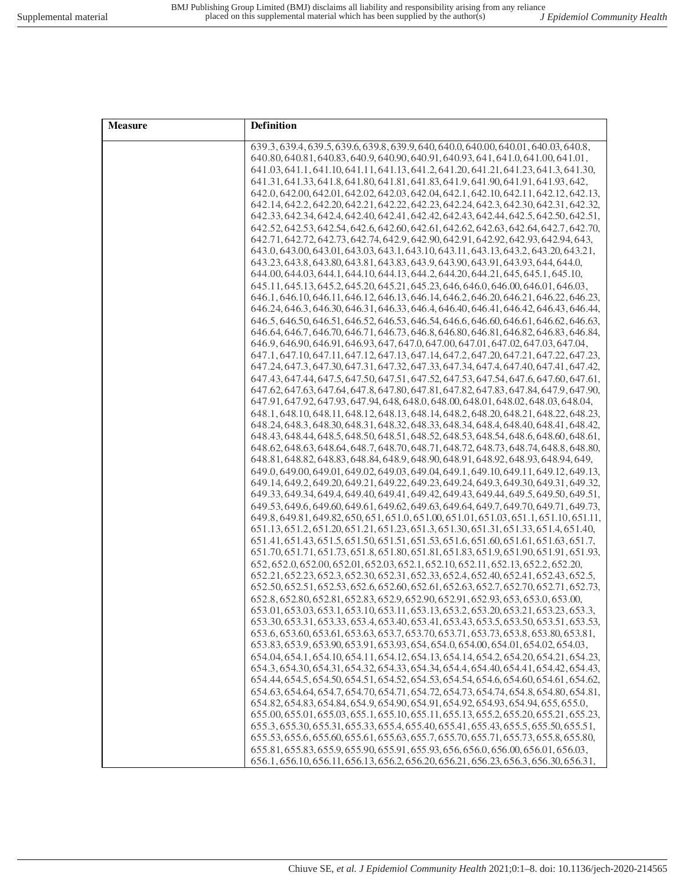| <b>Measure</b> | Definition                                                                             |
|----------------|----------------------------------------------------------------------------------------|
|                | 639.3, 639.4, 639.5, 639.6, 639.8, 639.9, 640, 640.0, 640.00, 640.01, 640.03, 640.8,   |
|                | 640.80, 640.81, 640.83, 640.9, 640.90, 640.91, 640.93, 641, 641.0, 641.00, 641.01,     |
|                | 641.03, 641.1, 641.10, 641.11, 641.13, 641.2, 641.20, 641.21, 641.23, 641.3, 641.30,   |
|                | 641.31, 641.33, 641.8, 641.80, 641.81, 641.83, 641.9, 641.90, 641.91, 641.93, 642,     |
|                | 642.0, 642.00, 642.01, 642.02, 642.03, 642.04, 642.1, 642.10, 642.11, 642.12, 642.13,  |
|                | 642.14, 642.2, 642.20, 642.21, 642.22, 642.23, 642.24, 642.3, 642.30, 642.31, 642.32,  |
|                | 642.33, 642.34, 642.4, 642.40, 642.41, 642.42, 642.43, 642.44, 642.5, 642.50, 642.51,  |
|                | 642.52, 642.53, 642.54, 642.6, 642.60, 642.61, 642.62, 642.63, 642.64, 642.7, 642.70,  |
|                | 642.71, 642.72, 642.73, 642.74, 642.9, 642.90, 642.91, 642.92, 642.93, 642.94, 643,    |
|                | 643.0, 643.00, 643.01, 643.03, 643.1, 643.10, 643.11, 643.13, 643.2, 643.20, 643.21,   |
|                | 643.23, 643.8, 643.80, 643.81, 643.83, 643.9, 643.90, 643.91, 643.93, 644, 644.0,      |
|                | 644.00, 644.03, 644.1, 644.10, 644.13, 644.2, 644.20, 644.21, 645, 645.1, 645.10,      |
|                | 645.11, 645.13, 645.2, 645.20, 645.21, 645.23, 646, 646.0, 646.00, 646.01, 646.03,     |
|                | 646.1, 646.10, 646.11, 646.12, 646.13, 646.14, 646.2, 646.20, 646.21, 646.22, 646.23,  |
|                | 646.24, 646.3, 646.30, 646.31, 646.33, 646.4, 646.40, 646.41, 646.42, 646.43, 646.44,  |
|                | 646.5, 646.50, 646.51, 646.52, 646.53, 646.54, 646.6, 646.60, 646.61, 646.62, 646.63,  |
|                | 646.64, 646.7, 646.70, 646.71, 646.73, 646.8, 646.80, 646.81, 646.82, 646.83, 646.84,  |
|                | 646.9, 646.90, 646.91, 646.93, 647, 647.0, 647.00, 647.01, 647.02, 647.03, 647.04,     |
|                | 647.1, 647.10, 647.11, 647.12, 647.13, 647.14, 647.2, 647.20, 647.21, 647.22, 647.23,  |
|                | 647.24, 647.3, 647.30, 647.31, 647.32, 647.33, 647.34, 647.40, 647.41, 647.42,         |
|                | 647.43, 647.54, 647.50, 647.51, 647.52, 647.53, 647.54, 647.6, 647.60, 647.61,         |
|                | 647.62, 647.63, 647.64, 647.8, 647.80, 647.81, 647.82, 647.83, 647.84, 647.9, 647.90,  |
|                | 647.91, 647.92, 647.93, 647.94, 648, 648.0, 648.00, 648.01, 648.02, 648.03, 648.04,    |
|                | 648.1, 648.10, 648.11, 648.12, 648.13, 648.14, 648.2, 648.20, 648.21, 648.22, 648.23,  |
|                | 648.24, 648.3, 648.30, 648.31, 648.32, 648.33, 648.34, 648.40, 648.41, 648.42,         |
|                | 648.43, 648.44, 648.5, 648.50, 648.51, 648.52, 648.53, 648.54, 648.6, 648.60, 648.61,  |
|                | 648.62, 648.63, 648.64, 648.7, 648.70, 648.71, 648.72, 648.73, 648.74, 648.8, 648.80,  |
|                | 648.81, 648.82, 648.83, 648.84, 648.9, 648.90, 648.91, 648.92, 648.93, 648.94, 649,    |
|                | 649.0, 649.00, 649.01, 649.02, 649.03, 649.04, 649.1, 649.10, 649.11, 649.12, 649.13,  |
|                | 649.14, 649.2, 649.20, 649.21, 649.22, 649.23, 649.24, 649.3, 649.30, 649.31, 649.32,  |
|                | 649.33, 649.34, 649.4, 649.40, 649.41, 649.42, 649.43, 649.44, 649.5, 649.50, 649.51,  |
|                | 649.53, 649.6, 649.60, 649.61, 649.62, 649.63, 649.64, 649.7, 649.70, 649.71, 649.73,  |
|                | 649.8, 649.81, 649.82, 650, 651, 651.0, 651.00, 651.01, 651.03, 651.1, 651.10, 651.11, |
|                | 651.13, 651.2, 651.20, 651.21, 651.23, 651.3, 651.30, 651.31, 651.33, 651.4, 651.40,   |
|                | 651.41, 651.43, 651.5, 651.50, 651.51, 651.53, 651.6, 651.60, 651.61, 651.63, 651.7,   |
|                | 651.70, 651.71, 651.73, 651.8, 651.80, 651.81, 651.83, 651.9, 651.90, 651.91, 651.93,  |
|                | 652, 652.0, 652.00, 652.01, 652.03, 652.1, 652.10, 652.11, 652.13, 652.2, 652.20,      |
|                | 652.21, 652.23, 652.3, 652.30, 652.31, 652.33, 652.4, 652.40, 652.41, 652.43, 652.5,   |
|                | 652.50, 652.51, 652.53, 652.6, 652.60, 652.61, 652.63, 652.7, 652.70, 652.71, 652.73,  |
|                | 652.8, 652.80, 652.81, 652.83, 652.9, 652.90, 652.91, 652.93, 653, 653.0, 653.00,      |
|                | 653.01, 653.03, 653.1, 653.10, 653.11, 653.13, 653.2, 653.20, 653.21, 653.23, 653.3,   |
|                | 653.30, 653.31, 653.33, 653.4, 653.40, 653.41, 653.43, 653.5, 653.50, 653.51, 653.53,  |
|                | 653.6, 653.60, 653.61, 653.63, 653.7, 653.70, 653.71, 653.73, 653.8, 653.80, 653.81,   |
|                | 653.83, 653.9, 653.90, 653.91, 653.93, 654, 654.0, 654.00, 654.01, 654.02, 654.03,     |
|                | 654.04, 654.1, 654.10, 654.11, 654.12, 654.13, 654.14, 654.2, 654.20, 654.21, 654.23,  |
|                | 654.3, 654.30, 654.31, 654.32, 654.33, 654.34, 654.4, 654.40, 654.41, 654.42, 654.43,  |
|                | 654.44, 654.5, 654.50, 654.51, 654.52, 654.53, 654.54, 654.6, 654.60, 654.61, 654.62,  |
|                | 654.63, 654.64, 654.7, 654.70, 654.71, 654.72, 654.73, 654.74, 654.8, 654.80, 654.81,  |
|                | 654.82, 654.83, 654.84, 654.9, 654.90, 654.91, 654.92, 654.93, 654.94, 655, 655.0,     |
|                | 655.00, 655.01, 655.03, 655.1, 655.10, 655.11, 655.13, 655.2, 655.20, 655.21, 655.23,  |
|                | 655.3, 655.30, 655.31, 655.33, 655.4, 655.40, 655.41, 655.43, 655.5, 655.50, 655.51,   |
|                | 655.53, 655.6, 655.60, 655.61, 655.63, 655.7, 655.70, 655.71, 655.73, 655.8, 655.80,   |
|                | 655.81, 655.83, 655.9, 655.90, 655.91, 655.93, 656, 656.0, 656.00, 656.01, 656.03,     |
|                | 656.1, 656.10, 656.11, 656.13, 656.2, 656.20, 656.21, 656.23, 656.3, 656.30, 656.31,   |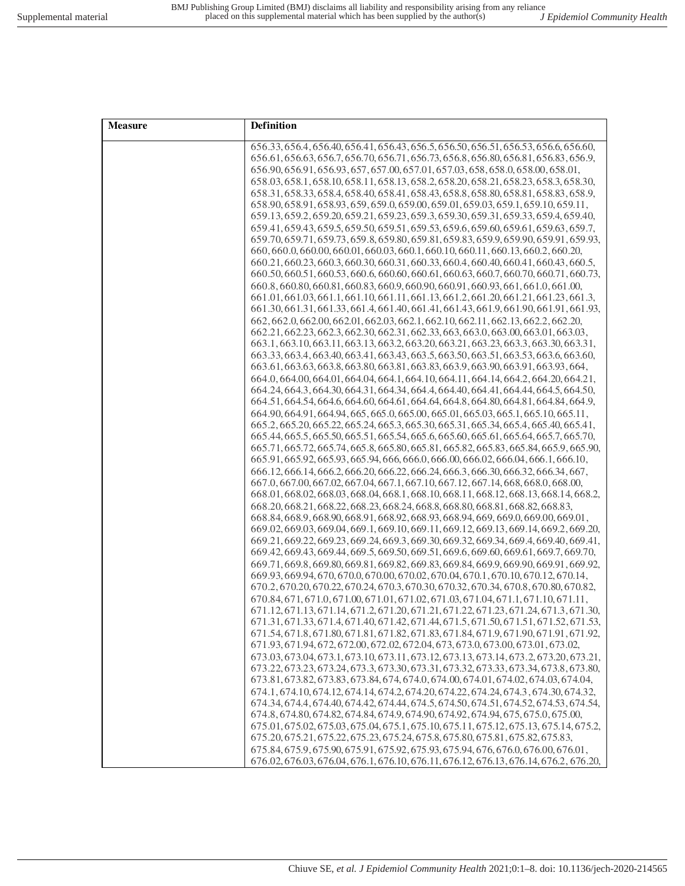| <b>Measure</b> | Definition                                                                                                                                                                    |
|----------------|-------------------------------------------------------------------------------------------------------------------------------------------------------------------------------|
|                | 656.33, 656.4, 656.40, 656.41, 656.43, 656.5, 656.50, 656.51, 656.53, 656.6, 656.60,<br>656.61, 656.63, 656.7, 656.70, 656.71, 656.73, 656.8, 656.80, 656.81, 656.83, 656.9,  |
|                | 656.90, 656.91, 656.93, 657, 657.00, 657.01, 657.03, 658, 658.0, 658.00, 658.01,                                                                                              |
|                | 658.03, 658.1, 658.10, 658.11, 658.13, 658.2, 658.20, 658.21, 658.23, 658.3, 658.30,                                                                                          |
|                | 658.31, 658.33, 658.4, 658.40, 658.41, 658.43, 658.8, 658.80, 658.81, 658.83, 658.9,                                                                                          |
|                | 658.90, 658.91, 658.93, 659, 659.0, 659.00, 659.01, 659.03, 659.1, 659.10, 659.11,                                                                                            |
|                | 659.13, 659.2, 659.20, 659.21, 659.23, 659.3, 659.30, 659.31, 659.33, 659.4, 659.40,                                                                                          |
|                | 659.41, 659.43, 659.5, 659.50, 659.51, 659.53, 659.6, 659.60, 659.61, 659.63, 659.7,                                                                                          |
|                | 659.70, 659.71, 659.73, 659.8, 659.80, 659.81, 659.83, 659.9, 659.90, 659.91, 659.93,                                                                                         |
|                | 660, 660.0, 660.00, 660.01, 660.03, 660.1, 660.10, 660.11, 660.13, 660.2, 660.20,                                                                                             |
|                | 660.21, 660.23, 660.3, 660.30, 660.31, 660.33, 660.4, 660.40, 660.41, 660.43, 660.5,                                                                                          |
|                | 660.50, 660.51, 660.53, 660.6, 660.60, 660.61, 660.63, 660.7, 660.70, 660.71, 660.73,                                                                                         |
|                | 660.8, 660.80, 660.81, 660.83, 660.9, 660.90, 660.91, 660.93, 661, 661.0, 661.00,                                                                                             |
|                | 661.01,661.03,661.1,661.10,661.11,661.13,661.2,661.20,661.21,661.23,661.3<br>661.30, 661.31, 661.33, 661.4, 661.40, 661.41, 661.43, 661.9, 661.90, 661.91, 661.93,            |
|                | 662, 662, 0, 662, 00, 662, 01, 662, 03, 662, 1, 662, 10, 662, 11, 662, 13, 662, 2, 662, 20,                                                                                   |
|                | 662.21, 662.23, 662.3, 662.31, 662.31, 662.33, 663.0, 663.00, 663.01, 663.03,                                                                                                 |
|                | 663.1, 663.10, 663.11, 663.13, 663.2, 663.20, 663.21, 663.23, 663.3, 663.30, 663.31,                                                                                          |
|                | 663.33, 663.4, 663.40, 663.41, 663.43, 663.5, 663.50, 663.51, 663.53, 663.6, 663.60,                                                                                          |
|                | 663.61, 663.63, 663.8, 663.80, 663.81, 663.83, 663.9, 663.90, 663.91, 663.93, 664,                                                                                            |
|                | 664.0, 664.00, 664.01, 664.04, 664.1, 664.10, 664.11, 664.14, 664.2, 664.20, 664.21,                                                                                          |
|                | 664.24, 664.3, 664.30, 664.31, 664.34, 664.4, 664.40, 664.41, 664.44, 664.5, 664.50,                                                                                          |
|                | 664.51, 664.54, 664.6, 664.60, 664.61, 664.64, 664.8, 664.80, 664.81, 664.84, 664.9                                                                                           |
|                | 664.90, 664.91, 664.94, 665, 665.0, 665.00, 665.01, 665.03, 665.1, 665.10, 665.11,                                                                                            |
|                | 665.2, 665.20, 665.22, 665.24, 665.3, 665.30, 665.31, 665.34, 665.4, 665.40, 665.41,<br>665.44, 665.5, 665.50, 665.51, 665.54, 665.6, 665.60, 665.61, 665.64, 665.7, 665.70,  |
|                | 665.71, 665.72, 665.74, 665.8, 665.80, 665.81, 665.82, 665.83, 665.84, 665.9, 665.90,                                                                                         |
|                | 665.91, 665.92, 665.93, 665.94, 666, 666.0, 666.00, 666.02, 666.04, 666.1, 666.10,                                                                                            |
|                | 666.12, 666.14, 666.2, 666.20, 666.22, 666.24, 666.3, 666.30, 666.32, 666.34, 667,                                                                                            |
|                | 667.0, 667.00, 667.02, 667.04, 667.1, 667.10, 667.12, 667.14, 668, 668.0, 668.00,                                                                                             |
|                | 668.01, 668.02, 668.03, 668.04, 668.1, 668.10, 668.11, 668.12, 668.13, 668.14, 668.2,                                                                                         |
|                | 668.20, 668.21, 668.22, 668.23, 668.24, 668.8, 668.80, 668.81, 668.82, 668.83,                                                                                                |
|                | 668.84, 668.9, 668.90, 668.91, 668.92, 668.93, 668.94, 669, 669.0, 669.00, 669.01,                                                                                            |
|                | 669.02, 669.03, 669.04, 669.1, 669.10, 669.11, 669.12, 669.13, 669.14, 669.2, 669.20,                                                                                         |
|                | 669.21, 669.22, 669.23, 669.24, 669.3, 669.30, 669.32, 669.34, 669.4, 669.40, 669.41,                                                                                         |
|                | 669.42, 669.43, 669.44, 669.5, 669.50, 669.51, 669.6, 669.60, 669.61, 669.7, 669.70,<br>669.71, 669.8, 669.80, 669.81, 669.82, 669.83, 669.84, 669.9, 669.90, 669.91, 669.92, |
|                | 669.93, 669.94, 670, 670.0, 670.00, 670.02, 670.04, 670.1, 670.10, 670.12, 670.14,                                                                                            |
|                | 670.2, 670.20, 670.22, 670.24, 670.3, 670.30, 670.32, 670.34, 670.8, 670.80, 670.82,                                                                                          |
|                | 670.84, 671, 671.0, 671.00, 671.01, 671.02, 671.03, 671.04, 671.1, 671.10, 671.11,                                                                                            |
|                | 671.12, 671.13, 671.14, 671.2, 671.20, 671.21, 671.22, 671.23, 671.24, 671.3, 671.30,                                                                                         |
|                | 671.31, 671.33, 671.4, 671.40, 671.42, 671.44, 671.5, 671.50, 671.51, 671.52, 671.53,                                                                                         |
|                | 671.54, 671.8, 671.80, 671.81, 671.82, 671.83, 671.84, 671.9, 671.90, 671.91, 671.92,                                                                                         |
|                | 671.93, 671.94, 672, 672.00, 672.02, 672.04, 673, 673.0, 673.00, 673.01, 673.02,                                                                                              |
|                | 673.03, 673.04, 673.1, 673.10, 673.11, 673.12, 673.13, 673.14, 673.2, 673.20, 673.21,                                                                                         |
|                | 673.22, 673.23, 673.24, 673.3, 673.30, 673.31, 673.32, 673.33, 673.34, 673.8, 673.80,                                                                                         |
|                | 673.81, 673.82, 673.83, 673.84, 674, 674.0, 674.00, 674.01, 674.02, 674.03, 674.04,<br>674.1, 674.10, 674.12, 674.14, 674.2, 674.20, 674.22, 674.24, 674.3, 674.30, 674.32,   |
|                | 674.34, 674.4, 674.40, 674.42, 674.44, 674.5, 674.50, 674.51, 674.52, 674.53, 674.54,                                                                                         |
|                | 674.8, 674.80, 674.82, 674.84, 674.9, 674.90, 674.92, 674.94, 675, 675.0, 675.00,                                                                                             |
|                | 675.01, 675.02, 675.03, 675.04, 675.1, 675.10, 675.11, 675.12, 675.13, 675.14, 675.2,                                                                                         |
|                | 675.20, 675.21, 675.22, 675.23, 675.24, 675.8, 675.80, 675.81, 675.82, 675.83,                                                                                                |
|                | 675.84, 675.9, 675.90, 675.91, 675.92, 675.93, 675.94, 676, 676.0, 676.00, 676.01,                                                                                            |
|                | 676.02, 676.03, 676.04, 676.1, 676.10, 676.11, 676.12, 676.13, 676.14, 676.2, 676.20,                                                                                         |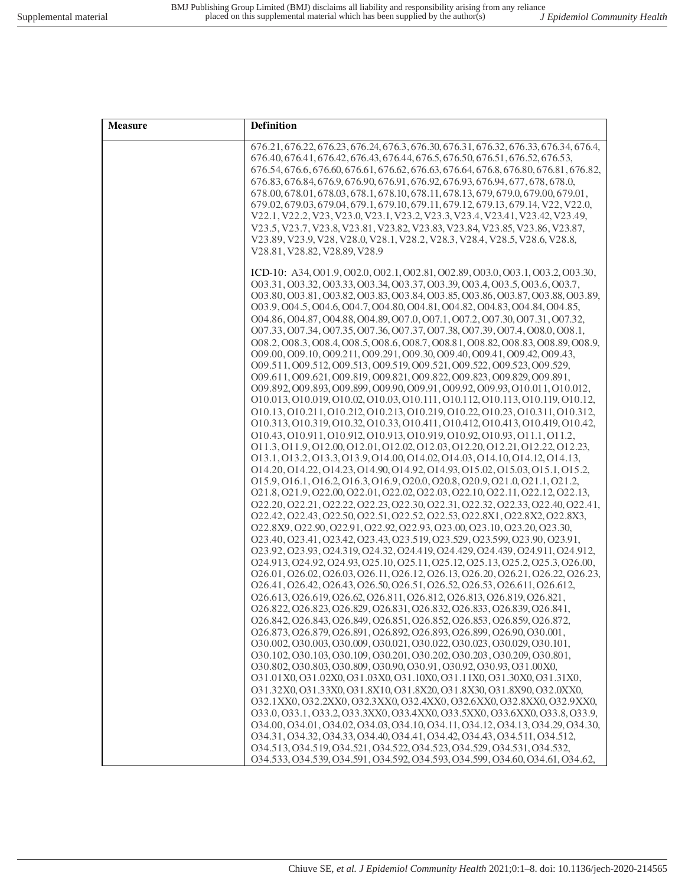| <b>Measure</b> | Definition                                                                                                                                                                                                                                                                                                                                                                                                                                                                                                                                                                                                                                                                                                                                                                                                                                                                                                                                                                                                                                                                                                                                                                                                                                                                                                                                                                                                                                                                                                                                                                                                                                                                                                                                                                                                                                                                                                                                                                                                                                                                                                                                                                                                                                                                                                                                                                                                                                                                  |
|----------------|-----------------------------------------------------------------------------------------------------------------------------------------------------------------------------------------------------------------------------------------------------------------------------------------------------------------------------------------------------------------------------------------------------------------------------------------------------------------------------------------------------------------------------------------------------------------------------------------------------------------------------------------------------------------------------------------------------------------------------------------------------------------------------------------------------------------------------------------------------------------------------------------------------------------------------------------------------------------------------------------------------------------------------------------------------------------------------------------------------------------------------------------------------------------------------------------------------------------------------------------------------------------------------------------------------------------------------------------------------------------------------------------------------------------------------------------------------------------------------------------------------------------------------------------------------------------------------------------------------------------------------------------------------------------------------------------------------------------------------------------------------------------------------------------------------------------------------------------------------------------------------------------------------------------------------------------------------------------------------------------------------------------------------------------------------------------------------------------------------------------------------------------------------------------------------------------------------------------------------------------------------------------------------------------------------------------------------------------------------------------------------------------------------------------------------------------------------------------------------|
|                | 676.21, 676.22, 676.23, 676.24, 676.3, 676.30, 676.31, 676.32, 676.33, 676.34, 676.4,<br>676.40, 676.41, 676.42, 676.43, 676.44, 676.5, 676.50, 676.51, 676.52, 676.53,<br>676.54, 676.6, 676.60, 676.61, 676.62, 676.63, 676.64, 676.8, 676.80, 676.81, 676.82,<br>676.83, 676.84, 676.9, 676.90, 676.91, 676.92, 676.93, 676.94, 677, 678, 678.0,<br>678.00, 678.01, 678.03, 678.1, 678.10, 678.11, 678.13, 679, 679.0, 679.00, 679.01,<br>679.02, 679.03, 679.04, 679.1, 679.10, 679.11, 679.12, 679.13, 679.14, V22, V22.0,<br>V22.1, V22.2, V23, V23.0, V23.1, V23.2, V23.3, V23.4, V23.41, V23.42, V23.49,<br>V23.5, V23.7, V23.8, V23.81, V23.82, V23.83, V23.84, V23.85, V23.86, V23.87,<br>V23.89, V23.9, V28, V28.0, V28.1, V28.2, V28.3, V28.4, V28.5, V28.6, V28.8,<br>V28.81, V28.82, V28.89, V28.9                                                                                                                                                                                                                                                                                                                                                                                                                                                                                                                                                                                                                                                                                                                                                                                                                                                                                                                                                                                                                                                                                                                                                                                                                                                                                                                                                                                                                                                                                                                                                                                                                                                            |
|                | ICD-10: A34, O01.9, O02.0, O02.1, O02.81, O02.89, O03.0, O03.1, O03.2, O03.30,<br>003.31, 003.32, 003.33, 003.34, 003.37, 003.39, 003.4, 003.5, 003.6, 003.7,<br>003.80, 003.81, 003.82, 003.83, 003.84, 003.85, 003.86, 003.87, 003.88, 003.89,<br>003.9, 004.5, 004.6, 004.7, 004.80, 004.81, 004.82, 004.83, 004.84, 004.85,<br>004.86, 004.87, 004.88, 004.89, 007.0, 007.1, 007.2, 007.30, 007.31, 007.32,<br>007.33, 007.34, 007.35, 007.36, 007.37, 007.38, 007.39, 007.4, 008.0, 008.1,<br>008.2, 008.3, 008.4, 008.5, 008.6, 008.7, 008.81, 008.82, 008.83, 008.89, 008.9,<br>009.00, 009.10, 009.211, 009.291, 009.30, 009.40, 009.41, 009.42, 009.43,<br>009.511, 009.512, 009.513, 009.519, 009.521, 009.522, 009.523, 009.529,<br>009.611, 009.621, 009.819, 009.821, 009.822, 009.823, 009.829, 009.891,<br>009.892, 009.893, 009.899, 009.90, 009.91, 009.92, 009.93, 010.011, 010.012,<br>010.013, 010.019, 010.02, 010.03, 010.111, 010.112, 010.113, 010.119, 010.12,<br>010.13, 010.211, 010.212, 010.213, 010.219, 010.22, 010.23, 010.311, 010.312,<br>010.313, 010.319, 010.32, 010.33, 010.411, 010.412, 010.413, 010.419, 010.42,<br>010.43, 010.911, 010.912, 010.913, 010.919, 010.92, 010.93, 011.1, 011.2,<br>011.3, 011.9, 012.00, 012.01, 012.02, 012.03, 012.20, 012.21, 012.22, 012.23,<br>013.1, 013.2, 013.3, 013.9, 014.00, 014.02, 014.03, 014.10, 014.12, 014.13,<br>014.20, 014.22, 014.23, 014.90, 014.92, 014.93, 015.02, 015.03, 015.1, 015.2,<br>015.9, 016.1, 016.2, 016.3, 016.9, 020.0, 020.8, 020.9, 021.0, 021.1, 021.2,<br>021.8, 021.9, 022.00, 022.01, 022.02, 022.03, 022.10, 022.11, 022.12, 022.13,<br>022.20, 022.21, 022.22, 022.23, 022.30, 022.31, 022.32, 022.33, 022.40, 022.41,<br>O22.42, O22.43, O22.50, O22.51, O22.52, O22.53, O22.8X1, O22.8X2, O22.8X3,<br>022.8X9, 022.90, 022.91, 022.92, 022.93, 023.00, 023.10, 023.20, 023.30,<br>023.40, 023.41, 023.42, 023.43, 023.519, 023.529, 023.599, 023.90, 023.91,<br>023.92, 023.93, 024.319, 024.32, 024.419, 024.429, 024.439, 024.911, 024.912,<br>024.913, 024.92, 024.93, 025.10, 025.11, 025.12, 025.13, 025.2, 025.3, 026.00,<br>026.01, 026.02, 026.03, 026.11, 026.12, 026.13, 026.20, 026.21, 026.22, 026.23,<br>026.41, 026.42, 026.43, 026.50, 026.51, 026.52, 026.53, 026.611, 026.612,<br>026.613, 026.619, 026.62, 026.811, 026.812, 026.813, 026.819, 026.821,<br>026.822, 026.823, 026.829, 026.831, 026.832, 026.833, 026.839, 026.841, |
|                | 026.842, 026.843, 026.849, 026.851, 026.852, 026.853, 026.859, 026.872,<br>026.873, 026.879, 026.891, 026.892, 026.893, 026.899, 026.90, 030.001,<br>030.002, 030.003, 030.009, 030.021, 030.022, 030.023, 030.029, 030.101,<br>030.102, 030.103, 030.109, 030.201, 030.202, 030.203, 030.209, 030.801,<br>O30.802, O30.803, O30.809, O30.90, O30.91, O30.92, O30.93, O31.00X0,<br>O31.01X0, O31.02X0, O31.03X0, O31.10X0, O31.11X0, O31.30X0, O31.31X0,<br>O31.32X0, O31.33X0, O31.8X10, O31.8X20, O31.8X30, O31.8X90, O32.0XX0,<br>O32.1XX0, O32.2XX0, O32.3XX0, O32.4XX0, O32.6XX0, O32.8XX0, O32.9XX0,<br>033.0, 033.1, 033.2, 033.3XX0, 033.4XX0, 033.5XX0, 033.6XX0, 033.8, 033.9,<br>034.00, 034.01, 034.02, 034.03, 034.10, 034.11, 034.12, 034.13, 034.29, 034.30,<br>034.31, 034.32, 034.33, 034.40, 034.41, 034.42, 034.43, 034.511, 034.512,<br>034.513, 034.519, 034.521, 034.522, 034.523, 034.529, 034.531, 034.532,<br>034.533, 034.539, 034.591, 034.592, 034.593, 034.599, 034.60, 034.61, 034.62,                                                                                                                                                                                                                                                                                                                                                                                                                                                                                                                                                                                                                                                                                                                                                                                                                                                                                                                                                                                                                                                                                                                                                                                                                                                                                                                                                                                                                                                        |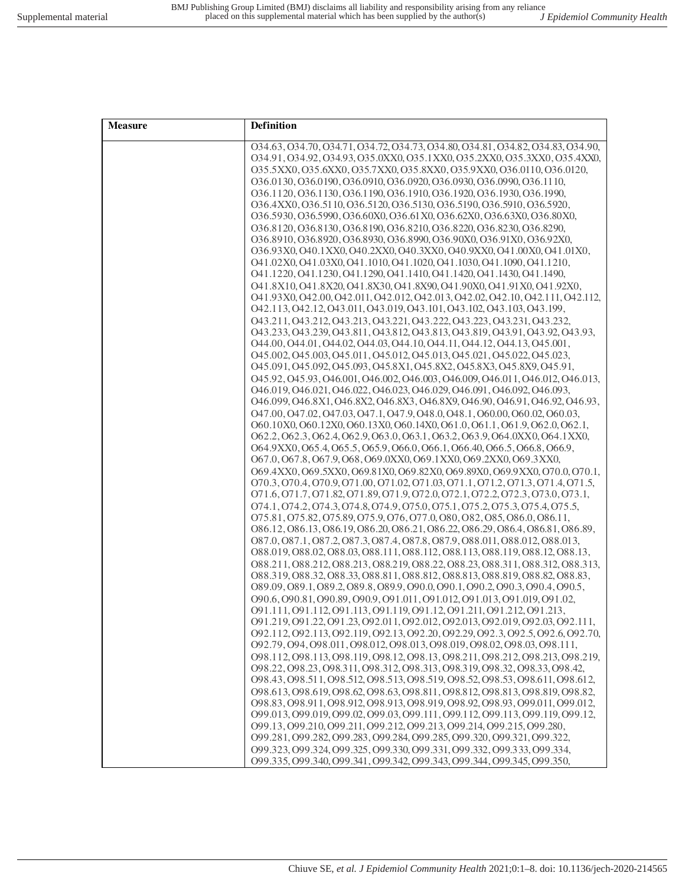| <b>Measure</b> | Definition                                                                                                                                                 |
|----------------|------------------------------------------------------------------------------------------------------------------------------------------------------------|
|                | 034.63, 034.70, 034.71, 034.72, 034.73, 034.80, 034.81, 034.82, 034.83, 034.90,                                                                            |
|                | 034.91, 034.92, 034.93, 035.0XX0, 035.1XX0, 035.2XX0, 035.3XX0, 035.4XX0,                                                                                  |
|                | O35.5XX0, O35.6XX0, O35.7XX0, O35.8XX0, O35.9XX0, O36.0110, O36.0120,                                                                                      |
|                | 036.0130, 036.0190, 036.0910, 036.0920, 036.0930, 036.0990, 036.1110,                                                                                      |
|                | 036.1120, 036.1130, 036.1190, 036.1910, 036.1920, 036.1930, 036.1990,                                                                                      |
|                | O36.4XX0, O36.5110, O36.5120, O36.5130, O36.5190, O36.5910, O36.5920,                                                                                      |
|                | O36.5930, O36.5990, O36.60X0, O36.61X0, O36.62X0, O36.63X0, O36.80X0,                                                                                      |
|                | 036.8120, 036.8130, 036.8190, 036.8210, 036.8220, 036.8230, 036.8290,<br>O36.8910, O36.8920, O36.8930, O36.8990, O36.90X0, O36.91X0, O36.92X0,             |
|                | O36.93X0, O40.1XX0, O40.2XX0, O40.3XX0, O40.9XX0, O41.00X0, O41.01X0,                                                                                      |
|                | O41.02X0, O41.03X0, O41.1010, O41.1020, O41.1030, O41.1090, O41.1210,                                                                                      |
|                | 041.1220, 041.1230, 041.1290, 041.1410, 041.1420, 041.1430, 041.1490,                                                                                      |
|                | O41.8X10, O41.8X20, O41.8X30, O41.8X90, O41.90X0, O41.91X0, O41.92X0,                                                                                      |
|                | 041.93X0, 042.00, 042.011, 042.012, 042.013, 042.02, 042.10, 042.111, 042.112,                                                                             |
|                | 042.113, 042.12, 043.011, 043.019, 043.101, 043.102, 043.103, 043.199,                                                                                     |
|                | 043.211, 043.212, 043.213, 043.221, 043.222, 043.223, 043.231, 043.232,                                                                                    |
|                | 043.233, 043.239, 043.811, 043.812, 043.813, 043.819, 043.91, 043.92, 043.93,                                                                              |
|                | 044.00, 044.01, 044.02, 044.03, 044.10, 044.11, 044.12, 044.13, 045.001,                                                                                   |
|                | 045.002, 045.003, 045.011, 045.012, 045.013, 045.021, 045.022, 045.023,                                                                                    |
|                | 045.091, 045.092, 045.093, 045.8X1, 045.8X2, 045.8X3, 045.8X9, 045.91,                                                                                     |
|                | 045.92, 045.93, 046.001, 046.002, 046.003, 046.009, 046.011, 046.012, 046.013,                                                                             |
|                | 046.019, 046.021, 046.022, 046.023, 046.029, 046.091, 046.092, 046.093,                                                                                    |
|                | 046.099, 046.8X1, 046.8X2, 046.8X3, 046.8X9, 046.90, 046.91, 046.92, 046.93,                                                                               |
|                | 047.00, 047.02, 047.03, 047.1, 047.9, 048.0, 048.1, 060.00, 060.02, 060.03,                                                                                |
|                | O60.10X0, O60.12X0, O60.13X0, O60.14X0, O61.0, O61.1, O61.9, O62.0, O62.1,                                                                                 |
|                | O62.2, O62.3, O62.4, O62.9, O63.0, O63.1, O63.2, O63.9, O64.0XX0, O64.1XX0,<br>O64.9XX0, O65.4, O65.5, O65.9, O66.0, O66.1, O66.40, O66.5, O66.8, O66.9,   |
|                | O67.0, O67.8, O67.9, O68, O69.0XX0, O69.1XX0, O69.2XX0, O69.3XX0,                                                                                          |
|                | O69.4XX0, O69.5XX0, O69.81X0, O69.82X0, O69.89X0, O69.9XX0, O70.0, O70.1,                                                                                  |
|                | 070.3, 070.4, 070.9, 071.00, 071.02, 071.03, 071.1, 071.2, 071.3, 071.4, 071.5,                                                                            |
|                | 071.6, 071.7, 071.82, 071.89, 071.9, 072.0, 072.1, 072.2, 072.3, 073.0, 073.1,                                                                             |
|                | 074.1, 074.2, 074.3, 074.8, 074.9, 075.0, 075.1, 075.2, 075.3, 075.4, 075.5,                                                                               |
|                | 075.81, 075.82, 075.89, 075.9, 076, 077.0, 080, 082, 085, 086.0, 086.11,                                                                                   |
|                | 086.12, 086.13, 086.19, 086.20, 086.21, 086.22, 086.29, 086.4, 086.81, 086.89,                                                                             |
|                | 087.0, 087.1, 087.2, 087.3, 087.4, 087.8, 087.9, 088.011, 088.012, 088.013,                                                                                |
|                | 088.019, 088.02, 088.03, 088.111, 088.112, 088.113, 088.119, 088.12, 088.13,                                                                               |
|                | 088.211, 088.212, 088.213, 088.219, 088.22, 088.23, 088.311, 088.312, 088.313,                                                                             |
|                | 088.319.088.32.088.33.088.811.088.812.088.813.088.819.088.82.088.83.                                                                                       |
|                | 089.09, 089.1, 089.2, 089.8, 089.9, 090.0, 090.1, 090.2, 090.3, 090.4, 090.5,<br>090.6, 090.81, 090.89, 090.9, 091.011, 091.012, 091.013, 091.019, 091.02, |
|                | 091.111, 091.112, 091.113, 091.119, 091.12, 091.211, 091.212, 091.213,                                                                                     |
|                | 091.219, 091.22, 091.23, 092.011, 092.012, 092.013, 092.019, 092.03, 092.111,                                                                              |
|                | 092.112, 092.113, 092.119, 092.13, 092.20, 092.29, 092.3, 092.5, 092.6, 092.70,                                                                            |
|                | 092.79, 094, 098.011, 098.012, 098.013, 098.019, 098.02, 098.03, 098.111,                                                                                  |
|                | 098.112, 098.113, 098.119, 098.12, 098.13, 098.211, 098.212, 098.213, 098.219,                                                                             |
|                | 098.22, 098.23, 098.311, 098.312, 098.313, 098.319, 098.32, 098.33, 098.42,                                                                                |
|                | 098.43, 098.511, 098.512, 098.513, 098.519, 098.52, 098.53, 098.611, 098.612,                                                                              |
|                | 098.613, 098.619, 098.62, 098.63, 098.811, 098.812, 098.813, 098.819, 098.82,                                                                              |
|                | 098.83, 098.911, 098.912, 098.913, 098.919, 098.92, 098.93, 099.011, 099.012,                                                                              |
|                | 099.013, 099.019, 099.02, 099.03, 099.111, 099.112, 099.113, 099.119, 099.12,                                                                              |
|                | 099.13, 099.210, 099.211, 099.212, 099.213, 099.214, 099.215, 099.280,                                                                                     |
|                | 099.281, 099.282, 099.283, 099.284, 099.285, 099.320, 099.321, 099.322,                                                                                    |
|                | 099.323, 099.324, 099.325, 099.330, 099.331, 099.332, 099.333, 099.334,                                                                                    |
|                | 099.335, 099.340, 099.341, 099.342, 099.343, 099.344, 099.345, 099.350,                                                                                    |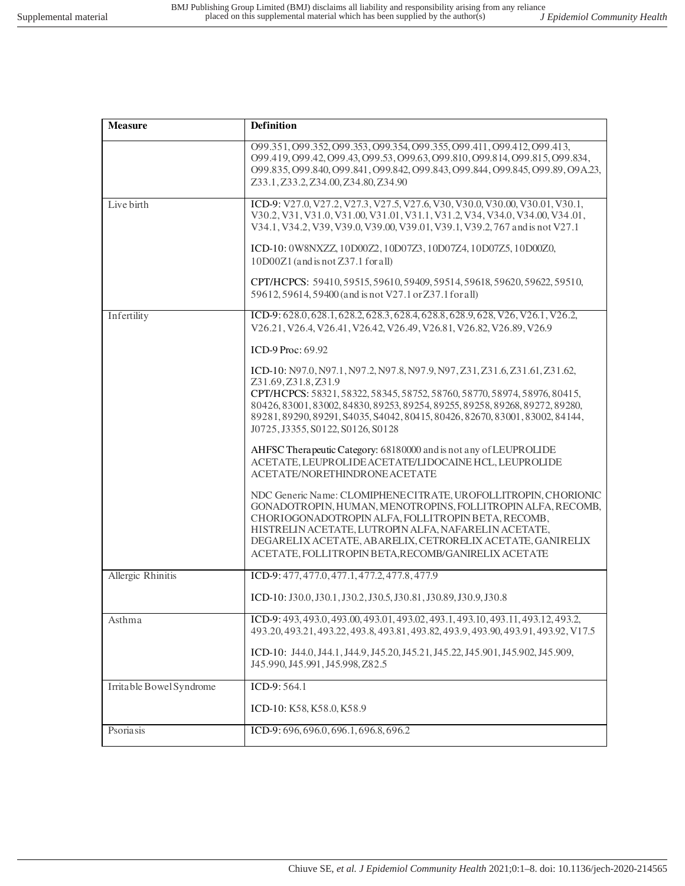| <b>Measure</b>           | Definition                                                                                                                                                                                                                                                                                                                                                                            |
|--------------------------|---------------------------------------------------------------------------------------------------------------------------------------------------------------------------------------------------------------------------------------------------------------------------------------------------------------------------------------------------------------------------------------|
|                          | 099.351, 099.352, 099.353, 099.354, 099.355, 099.411, 099.412, 099.413,<br>099.419, 099.42, 099.43, 099.53, 099.63, 099.810, 099.814, 099.815, 099.834,<br>O99.835, O99.840, O99.841, O99.842, O99.843, O99.844, O99.845, O99.89, O9A.23,<br>Z33.1, Z33.2, Z34.00, Z34.80, Z34.90                                                                                                     |
| Live birth               | ICD-9: V27.0, V27.2, V27.3, V27.5, V27.6, V30, V30.0, V30.00, V30.01, V30.1,<br>V30.2, V31, V31.0, V31.00, V31.01, V31.1, V31.2, V34, V34.0, V34.00, V34.01,<br>V34.1, V34.2, V39, V39.0, V39.00, V39.01, V39.1, V39.2, 767 and is not V27.1                                                                                                                                          |
|                          | ICD-10: 0W8NXZZ, 10D00Z2, 10D07Z3, 10D07Z4, 10D07Z5, 10D00Z0,<br>$10D00Z1$ (and is not $Z37.1$ for all)                                                                                                                                                                                                                                                                               |
|                          | CPT/HCPCS: 59410, 59515, 59610, 59409, 59514, 59618, 59620, 59622, 59510,<br>59612, 59614, 59400 (and is not V27.1 or Z37.1 for all)                                                                                                                                                                                                                                                  |
| Infertility              | ICD-9: 628.0, 628.1, 628.2, 628.3, 628.4, 628.8, 628.9, 628, V26, V26.1, V26.2,<br>V26.21, V26.4, V26.41, V26.42, V26.49, V26.81, V26.82, V26.89, V26.9                                                                                                                                                                                                                               |
|                          | ICD-9 Proc: 69.92                                                                                                                                                                                                                                                                                                                                                                     |
|                          | ICD-10: N97.0, N97.1, N97.2, N97.8, N97.9, N97, Z31, Z31.6, Z31.61, Z31.62,<br>Z31.69, Z31.8, Z31.9<br>CPT/HCPCS: 58321, 58322, 58345, 58752, 58760, 58770, 58974, 58976, 80415,<br>80426, 83001, 83002, 84830, 89253, 89254, 89255, 89258, 89268, 89272, 89280,<br>89281, 89290, 89291, S4035, S4042, 80415, 80426, 82670, 83001, 83002, 84144,<br>J0725, J3355, S0122, S0126, S0128 |
|                          | AHFSC Therapeutic Category: 68180000 and is not any of LEUPROLIDE<br>ACETATE, LEUPROLIDE ACETATE/LIDOCAINE HCL, LEUPROLIDE<br>ACETATE/NORETHINDRONE ACETATE                                                                                                                                                                                                                           |
|                          | NDC Generic Name: CLOMIPHENECITRATE, UROFOLLITROPIN, CHORIONIC<br>GONADOTROPIN, HUMAN, MENOTROPINS, FOLLITROPIN ALFA, RECOMB,<br>CHORIOGONADOTROPIN ALFA, FOLLITROPIN BETA, RECOMB,<br>HISTRELIN ACETATE, LUTROPIN ALFA, NAFARELIN ACETATE,<br>DEGARELIX ACETATE, ABARELIX, CETRORELIX ACETATE, GANIRELIX<br>ACETATE, FOLLITROPIN BETA, RECOMB/GANIRELIX ACETATE                      |
| Allergic Rhinitis        | ICD-9: 477, 477.0, 477.1, 477.2, 477.8, 477.9                                                                                                                                                                                                                                                                                                                                         |
|                          | ICD-10: J30.0, J30.1, J30.2, J30.5, J30.81, J30.89, J30.9, J30.8                                                                                                                                                                                                                                                                                                                      |
| Asthma                   | ICD-9: 493, 493.0, 493.00, 493.01, 493.02, 493.1, 493.10, 493.11, 493.12, 493.2,<br>493.20, 493.21, 493.22, 493.8, 493.81, 493.82, 493.9, 493.90, 493.91, 493.92, V17.5                                                                                                                                                                                                               |
|                          | ICD-10: J44.0, J44.1, J44.9, J45.20, J45.21, J45.22, J45.901, J45.902, J45.909,<br>J45.990, J45.991, J45.998, Z82.5                                                                                                                                                                                                                                                                   |
| Irritable Bowel Syndrome | ICD-9: 564.1                                                                                                                                                                                                                                                                                                                                                                          |
|                          | ICD-10: K58, K58.0, K58.9                                                                                                                                                                                                                                                                                                                                                             |
| Psoriasis                | ICD-9: 696, 696.0, 696.1, 696.8, 696.2                                                                                                                                                                                                                                                                                                                                                |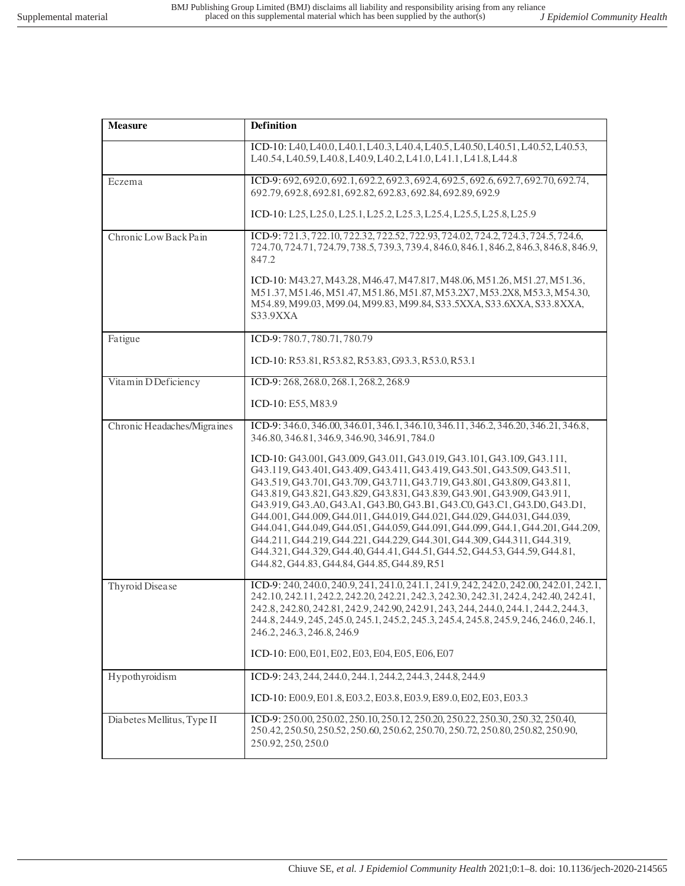| <b>Measure</b>              | Definition                                                                                                                                                                                                                                                                                                                                                                                                                                                                                                                                                                                                                                                                                                                                              |
|-----------------------------|---------------------------------------------------------------------------------------------------------------------------------------------------------------------------------------------------------------------------------------------------------------------------------------------------------------------------------------------------------------------------------------------------------------------------------------------------------------------------------------------------------------------------------------------------------------------------------------------------------------------------------------------------------------------------------------------------------------------------------------------------------|
|                             | ICD-10: L40, L40.0, L40.1, L40.3, L40.4, L40.5, L40.50, L40.51, L40.52, L40.53,<br>L40.54, L40.59, L40.8, L40.9, L40.2, L41.0, L41.1, L41.8, L44.8                                                                                                                                                                                                                                                                                                                                                                                                                                                                                                                                                                                                      |
| Eczema                      | ICD-9: 692, 692.0, 692.1, 692.2, 692.3, 692.4, 692.5, 692.6, 692.7, 692.70, 692.74,<br>692.79, 692.8, 692.81, 692.82, 692.83, 692.84, 692.89, 692.9                                                                                                                                                                                                                                                                                                                                                                                                                                                                                                                                                                                                     |
|                             | ICD-10: L25, L25.0, L25.1, L25.2, L25.3, L25.4, L25.5, L25.8, L25.9                                                                                                                                                                                                                                                                                                                                                                                                                                                                                                                                                                                                                                                                                     |
| Chronic Low Back Pain       | ICD-9: 721.3, 722.10, 722.32, 722.52, 722.93, 724.02, 724.2, 724.3, 724.5, 724.6,<br>724.70, 724.71, 724.79, 738.5, 739.3, 739.4, 846.0, 846.1, 846.2, 846.3, 846.8, 846.9,<br>847.2                                                                                                                                                                                                                                                                                                                                                                                                                                                                                                                                                                    |
|                             | ICD-10: M43.27, M43.28, M46.47, M47.817, M48.06, M51.26, M51.27, M51.36,<br>M51.37, M51.46, M51.47, M51.86, M51.87, M53.2X7, M53.2X8, M53.3, M54.30,<br>M54.89, M99.03, M99.04, M99.83, M99.84, S33.5XXA, S33.6XXA, S33.8XXA,<br>S33.9XXA                                                                                                                                                                                                                                                                                                                                                                                                                                                                                                               |
| Fatigue                     | ICD-9:780.7,780.71,780.79                                                                                                                                                                                                                                                                                                                                                                                                                                                                                                                                                                                                                                                                                                                               |
|                             | ICD-10: R53.81, R53.82, R53.83, G93.3, R53.0, R53.1                                                                                                                                                                                                                                                                                                                                                                                                                                                                                                                                                                                                                                                                                                     |
| Vitamin D Deficiency        | ICD-9: 268, 268.0, 268.1, 268.2, 268.9                                                                                                                                                                                                                                                                                                                                                                                                                                                                                                                                                                                                                                                                                                                  |
|                             | ICD-10: E55, M83.9                                                                                                                                                                                                                                                                                                                                                                                                                                                                                                                                                                                                                                                                                                                                      |
| Chronic Headaches/Migraines | ICD-9: 346.0, 346.00, 346.01, 346.1, 346.10, 346.11, 346.2, 346.20, 346.21, 346.8,<br>346.80, 346.81, 346.9, 346.90, 346.91, 784.0                                                                                                                                                                                                                                                                                                                                                                                                                                                                                                                                                                                                                      |
|                             | ICD-10: G43.001, G43.009, G43.011, G43.019, G43.101, G43.109, G43.111,<br>G43.119, G43.401, G43.409, G43.411, G43.419, G43.501, G43.509, G43.511,<br>G43.519, G43.701, G43.709, G43.711, G43.719, G43.801, G43.809, G43.811,<br>G43.819, G43.821, G43.829, G43.831, G43.839, G43.901, G43.909, G43.911,<br>G43.919, G43.A0, G43.A1, G43.B0, G43.B1, G43.C0, G43.C1, G43.D0, G43.D1,<br>G44.001, G44.009, G44.011, G44.019, G44.021, G44.029, G44.031, G44.039,<br>G44.041, G44.049, G44.051, G44.059, G44.091, G44.099, G44.1, G44.201, G44.209,<br>G44.211, G44.219, G44.221, G44.229, G44.301, G44.309, G44.311, G44.319,<br>G44.321, G44.329, G44.40, G44.41, G44.51, G44.52, G44.53, G44.59, G44.81,<br>G44.82, G44.83, G44.84, G44.85, G44.89, R51 |
| Thyroid Disease             | ICD-9: 240, 240.0, 240.9, 241, 241.0, 241.1, 241.9, 242, 242.0, 242.00, 242.01, 242.1,<br>242.10, 242.11, 242.2, 242.20, 242.21, 242.3, 242.30, 242.31, 242.4, 242.40, 242.41,<br>242.8, 242.80, 242.81, 242.9, 242.90, 242.91, 243, 244, 244.0, 244.1, 244.2, 244.3,<br>244.8, 244.9, 245.245.0, 245.1, 245.2, 245.3, 245.4, 245.8, 245.9, 246, 246.0, 246.1,<br>246.2, 246.3, 246.8, 246.9                                                                                                                                                                                                                                                                                                                                                            |
|                             | ICD-10: E00, E01, E02, E03, E04, E05, E06, E07                                                                                                                                                                                                                                                                                                                                                                                                                                                                                                                                                                                                                                                                                                          |
| Hypothyroidism              | ICD-9: 243, 244, 244.0, 244.1, 244.2, 244.3, 244.8, 244.9                                                                                                                                                                                                                                                                                                                                                                                                                                                                                                                                                                                                                                                                                               |
|                             | ICD-10: E00.9, E01.8, E03.2, E03.8, E03.9, E89.0, E02, E03, E03.3                                                                                                                                                                                                                                                                                                                                                                                                                                                                                                                                                                                                                                                                                       |
| Diabetes Mellitus, Type II  | ICD-9: 250.00, 250.02, 250.10, 250.12, 250.20, 250.22, 250.30, 250.32, 250.40,<br>250.42, 250.50, 250.52, 250.60, 250.62, 250.70, 250.72, 250.80, 250.82, 250.90,<br>250.92, 250, 250.0                                                                                                                                                                                                                                                                                                                                                                                                                                                                                                                                                                 |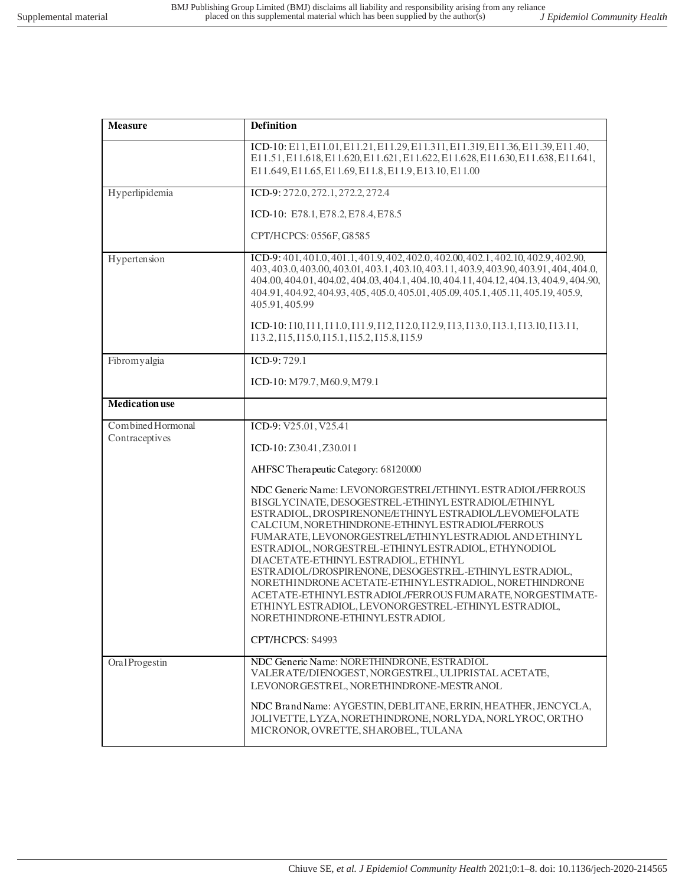| <b>Measure</b>                      | Definition                                                                                                                                                                                                                                                                                                                                                                                                                                                                                                                                                                                                                                                       |
|-------------------------------------|------------------------------------------------------------------------------------------------------------------------------------------------------------------------------------------------------------------------------------------------------------------------------------------------------------------------------------------------------------------------------------------------------------------------------------------------------------------------------------------------------------------------------------------------------------------------------------------------------------------------------------------------------------------|
|                                     | ICD-10: E11, E11.01, E11.21, E11.29, E11.311, E11.319, E11.36, E11.39, E11.40,<br>E11.51, E11.618, E11.620, E11.621, E11.622, E11.628, E11.630, E11.638, E11.641,<br>E11.649, E11.65, E11.69, E11.8, E11.9, E13.10, E11.00                                                                                                                                                                                                                                                                                                                                                                                                                                       |
| Hyperlipidemia                      | ICD-9: 272.0, 272.1, 272.2, 272.4                                                                                                                                                                                                                                                                                                                                                                                                                                                                                                                                                                                                                                |
|                                     | ICD-10: E78.1, E78.2, E78.4, E78.5                                                                                                                                                                                                                                                                                                                                                                                                                                                                                                                                                                                                                               |
|                                     | CPT/HCPCS: 0556F, G8585                                                                                                                                                                                                                                                                                                                                                                                                                                                                                                                                                                                                                                          |
| Hypertension                        | ICD-9: 401, 401.0, 401.1, 401.9, 402, 402.0, 402.00, 402.1, 402.10, 402.9, 402.90,<br>403, 403.0, 403.00, 403.01, 403.1, 403.10, 403.11, 403.9, 403.90, 403.91, 404, 404.0,<br>404.00, 404.01, 404.02, 404.03, 404.1, 404.10, 404.11, 404.12, 404.13, 404.9, 404.90,<br>404.91, 404.92, 404.93, 405, 405.0, 405.01, 405.09, 405.1, 405.11, 405.19, 405.9,<br>405.91,405.99                                                                                                                                                                                                                                                                                       |
|                                     | ICD-10: 110, I11, I11.0, I11.9, I12, I12.0, I12.9, I13, I13.0, I13.1, I13.10, I13.11,<br>113.2, 115, 115.0, 115.1, 115.2, 115.8, 115.9                                                                                                                                                                                                                                                                                                                                                                                                                                                                                                                           |
| Fibromyalgia                        | ICD-9:729.1                                                                                                                                                                                                                                                                                                                                                                                                                                                                                                                                                                                                                                                      |
|                                     | ICD-10: M79.7, M60.9, M79.1                                                                                                                                                                                                                                                                                                                                                                                                                                                                                                                                                                                                                                      |
| <b>Medication</b> use               |                                                                                                                                                                                                                                                                                                                                                                                                                                                                                                                                                                                                                                                                  |
| Combined Hormonal<br>Contraceptives | ICD-9: V25.01, V25.41                                                                                                                                                                                                                                                                                                                                                                                                                                                                                                                                                                                                                                            |
|                                     | ICD-10: Z30.41, Z30.011                                                                                                                                                                                                                                                                                                                                                                                                                                                                                                                                                                                                                                          |
|                                     | AHFSC Therapeutic Category: 68120000                                                                                                                                                                                                                                                                                                                                                                                                                                                                                                                                                                                                                             |
|                                     | NDC Generic Name: LEVONORGESTREL/ETHINYL ESTRADIOL/FERROUS<br>BISGLYCINATE, DESOGESTREL-ETHINYL ESTRADIOL/ETHINYL<br>ESTRADIOL, DROSPIRENONE/ETHINYL ESTRADIOL/LEVOMEFOLATE<br>CALCIUM, NORETHINDRONE-ETHINYL ESTRADIOL/FERROUS<br>FUMARATE, LEVONORGESTREL/ETHINYL ESTRADIOL AND ETHINYL<br>ESTRADIOL, NORGESTREL-ETHINYLESTRADIOL, ETHYNODIOL<br>DIACETATE-ETHINYL ESTRADIOL, ETHINYL<br>ESTRADIOL/DROSPIRENONE, DESOGESTREL-ETHINYL ESTRADIOL,<br>NORETHINDRONE ACETATE-ETHINYLESTRADIOL, NORETHINDRONE<br>ACETATE-ETHINYLESTRADIOL/FERROUS FUMARATE, NORGESTIMATE-<br>ETHINYL ESTRADIOL, LEVONORGESTREL-ETHINYL ESTRADIOL,<br>NORETHINDRONE-ETHINYLESTRADIOL |
|                                     | CPT/HCPCS: S4993                                                                                                                                                                                                                                                                                                                                                                                                                                                                                                                                                                                                                                                 |
| OralProgestin                       | NDC Generic Name: NORETHINDRONE, ESTRADIOL<br>VALERATE/DIENOGEST, NORGESTREL, ULIPRISTAL ACETATE,<br>LEVONORGESTREL, NORETHINDRONE-MESTRANOL                                                                                                                                                                                                                                                                                                                                                                                                                                                                                                                     |
|                                     | NDC BrandName: AYGESTIN, DEBLITANE, ERRIN, HEATHER, JENCYCLA,<br>JOLIVETTE, LYZA, NORETHINDRONE, NORLYDA, NORLYROC, ORTHO<br>MICRONOR, OVRETTE, SHAROBEL, TULANA                                                                                                                                                                                                                                                                                                                                                                                                                                                                                                 |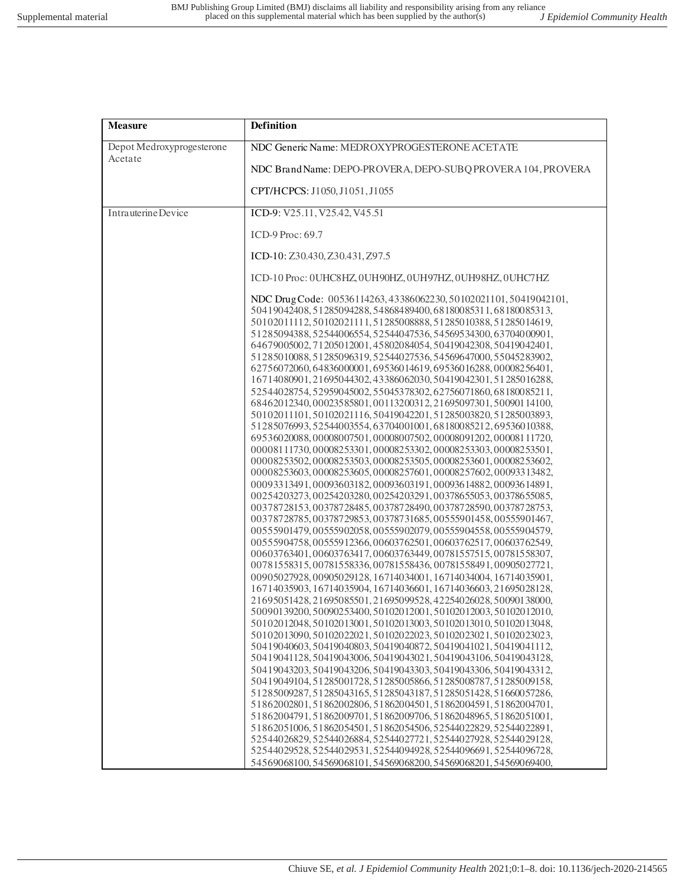| <b>Measure</b>            | <b>Definition</b>                                                                                                                                                                                                                                                                                                                                                                                                                                                                                                                                                                                                                                                                                                                                                                                                                                                                                                                                                                                                                                                                                                                                                                                                                                                                                                                                                                                                                                                                                                                                                                                                                                                                                                                                                                                                                                                                                                                                                                                                                                                                                                                                                                                                                                                                                                                                                                                                                                                                                                                                                                                                                                                                                                         |
|---------------------------|---------------------------------------------------------------------------------------------------------------------------------------------------------------------------------------------------------------------------------------------------------------------------------------------------------------------------------------------------------------------------------------------------------------------------------------------------------------------------------------------------------------------------------------------------------------------------------------------------------------------------------------------------------------------------------------------------------------------------------------------------------------------------------------------------------------------------------------------------------------------------------------------------------------------------------------------------------------------------------------------------------------------------------------------------------------------------------------------------------------------------------------------------------------------------------------------------------------------------------------------------------------------------------------------------------------------------------------------------------------------------------------------------------------------------------------------------------------------------------------------------------------------------------------------------------------------------------------------------------------------------------------------------------------------------------------------------------------------------------------------------------------------------------------------------------------------------------------------------------------------------------------------------------------------------------------------------------------------------------------------------------------------------------------------------------------------------------------------------------------------------------------------------------------------------------------------------------------------------------------------------------------------------------------------------------------------------------------------------------------------------------------------------------------------------------------------------------------------------------------------------------------------------------------------------------------------------------------------------------------------------------------------------------------------------------------------------------------------------|
| Depot Medroxyprogesterone | NDC Generic Name: MEDROXYPROGESTERONE ACETATE                                                                                                                                                                                                                                                                                                                                                                                                                                                                                                                                                                                                                                                                                                                                                                                                                                                                                                                                                                                                                                                                                                                                                                                                                                                                                                                                                                                                                                                                                                                                                                                                                                                                                                                                                                                                                                                                                                                                                                                                                                                                                                                                                                                                                                                                                                                                                                                                                                                                                                                                                                                                                                                                             |
| Acetate                   | NDC Brand Name: DEPO-PROVERA, DEPO-SUBQ PROVERA 104, PROVERA                                                                                                                                                                                                                                                                                                                                                                                                                                                                                                                                                                                                                                                                                                                                                                                                                                                                                                                                                                                                                                                                                                                                                                                                                                                                                                                                                                                                                                                                                                                                                                                                                                                                                                                                                                                                                                                                                                                                                                                                                                                                                                                                                                                                                                                                                                                                                                                                                                                                                                                                                                                                                                                              |
|                           | CPT/HCPCS: J1050, J1051, J1055                                                                                                                                                                                                                                                                                                                                                                                                                                                                                                                                                                                                                                                                                                                                                                                                                                                                                                                                                                                                                                                                                                                                                                                                                                                                                                                                                                                                                                                                                                                                                                                                                                                                                                                                                                                                                                                                                                                                                                                                                                                                                                                                                                                                                                                                                                                                                                                                                                                                                                                                                                                                                                                                                            |
| Intrauterine Device       | ICD-9: V25.11, V25.42, V45.51                                                                                                                                                                                                                                                                                                                                                                                                                                                                                                                                                                                                                                                                                                                                                                                                                                                                                                                                                                                                                                                                                                                                                                                                                                                                                                                                                                                                                                                                                                                                                                                                                                                                                                                                                                                                                                                                                                                                                                                                                                                                                                                                                                                                                                                                                                                                                                                                                                                                                                                                                                                                                                                                                             |
|                           | ICD-9 Proc: 69.7                                                                                                                                                                                                                                                                                                                                                                                                                                                                                                                                                                                                                                                                                                                                                                                                                                                                                                                                                                                                                                                                                                                                                                                                                                                                                                                                                                                                                                                                                                                                                                                                                                                                                                                                                                                                                                                                                                                                                                                                                                                                                                                                                                                                                                                                                                                                                                                                                                                                                                                                                                                                                                                                                                          |
|                           | ICD-10: Z30.430, Z30.431, Z97.5                                                                                                                                                                                                                                                                                                                                                                                                                                                                                                                                                                                                                                                                                                                                                                                                                                                                                                                                                                                                                                                                                                                                                                                                                                                                                                                                                                                                                                                                                                                                                                                                                                                                                                                                                                                                                                                                                                                                                                                                                                                                                                                                                                                                                                                                                                                                                                                                                                                                                                                                                                                                                                                                                           |
|                           | ICD-10 Proc: 0UHC8HZ, 0UH90HZ, 0UH97HZ, 0UH98HZ, 0UHC7HZ                                                                                                                                                                                                                                                                                                                                                                                                                                                                                                                                                                                                                                                                                                                                                                                                                                                                                                                                                                                                                                                                                                                                                                                                                                                                                                                                                                                                                                                                                                                                                                                                                                                                                                                                                                                                                                                                                                                                                                                                                                                                                                                                                                                                                                                                                                                                                                                                                                                                                                                                                                                                                                                                  |
|                           | NDC DrugCode: 00536114263, 43386062230, 50102021101, 50419042101,<br>50419042408, 51285094288, 54868489400, 68180085311, 68180085313,<br>50102011112,50102021111,51285008888,51285010388,51285014619,<br>51285094388,52544006554,52544047536,54569534300,63704000901,<br>64679005002, 71205012001, 45802084054, 50419042308, 50419042401,<br>51285010088,51285096319,52544027536,54569647000,55045283902,<br>62756072060, 64836000001, 69536014619, 69536016288, 00008256401,<br>16714080901, 21695044302, 43386062030, 50419042301, 51285016288,<br>52544028754,52959045002,55045378302,62756071860,68180085211,<br>68462012340, 00023585801, 00113200312, 21695097301, 50090114100,<br>50102011101,50102021116,50419042201,51285003820,51285003893,<br>51285076993,52544003554,63704001001,68180085212,69536010388,<br>69536020088,00008007501,00008007502,00008091202,00008111720,<br>00008111730,00008253301,00008253302,00008253303,00008253501,<br>00008253502,00008253503,00008253505,00008253601,00008253602,<br>00008253603,00008253605,00008257601,00008257602,00093313482,<br>00093313491,00093603182,00093603191,00093614882,00093614891,<br>00254203273,00254203280,00254203291,00378655053,00378655085,<br>00378728153,00378728485,00378728490,00378728590,00378728753,<br>00378728785,00378729853,00378731685,00555901458,00555901467,<br>00555901479,00555902058,00555902079,00555904558,00555904579,<br>00555904758,00555912366,00603762501,00603762517,00603762549,<br>00603763401,00603763417,00603763449,00781557515,00781558307,<br>00781558315,00781558336,00781558436,00781558491,00905027721,<br>00905027928,00905029128,16714034001,16714034004,16714035901,<br>16714035903, 16714035904, 16714036601, 16714036603, 21695028128,<br>21695051428, 21695085501, 21695099528, 42254026028, 50090138000,<br>50090139200,50090253400,50102012001,50102012003,50102012010,<br>50102012048, 50102013001, 50102013003, 50102013010, 50102013048,<br>50102013090, 50102022021, 50102022023, 50102023021, 50102023023,<br>50419040603,50419040803,50419040872,50419041021,50419041112,<br>50419041128, 50419043006, 50419043021, 50419043106, 50419043128,<br>50419043203, 50419043206, 50419043303, 50419043306, 50419043312,<br>50419049104, 51285001728, 51285005866, 51285008787, 51285009158,<br>51285009287,51285043165,51285043187,51285051428,51660057286,<br>51862002801.51862002806.51862004501.51862004591.51862004701.<br>51862004791,51862009701,51862009706,51862048965,51862051001,<br>51862051006, 51862054501, 51862054506, 52544022829, 52544022891,<br>52544026829,52544026884,52544027721,52544027928,52544029128,<br>52544029528, 52544029531, 52544094928, 52544096691, 52544096728, |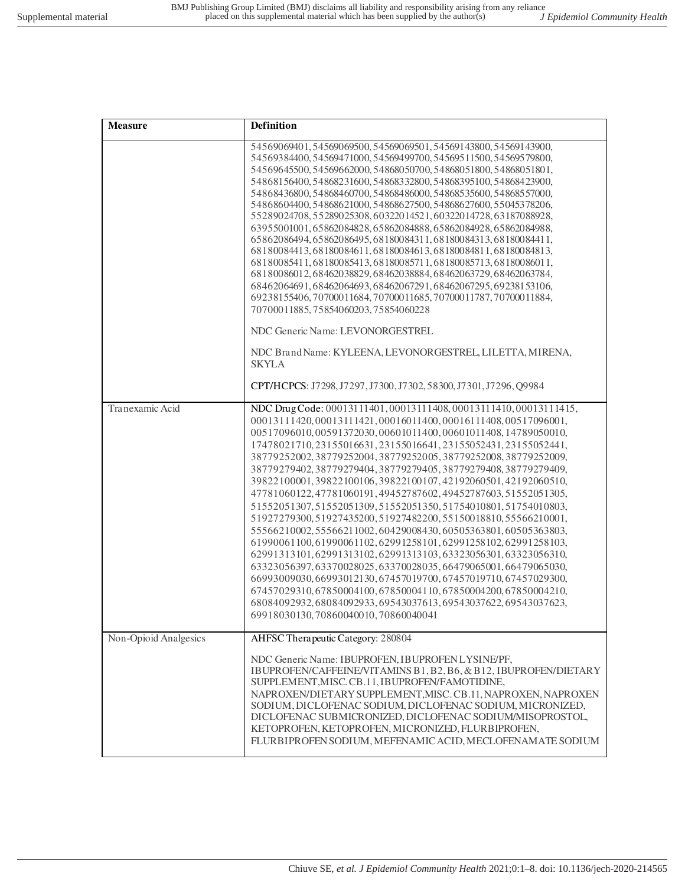| <b>Measure</b>        | Definition                                                                                                                                                                                                                                                                                                                                                                                                                                                                                                                                                                                                                                                                                                                                                                                                                                                                                                                                                                                                                                                                                                                                                                                |
|-----------------------|-------------------------------------------------------------------------------------------------------------------------------------------------------------------------------------------------------------------------------------------------------------------------------------------------------------------------------------------------------------------------------------------------------------------------------------------------------------------------------------------------------------------------------------------------------------------------------------------------------------------------------------------------------------------------------------------------------------------------------------------------------------------------------------------------------------------------------------------------------------------------------------------------------------------------------------------------------------------------------------------------------------------------------------------------------------------------------------------------------------------------------------------------------------------------------------------|
|                       | 54569069401,54569069500,54569069501,54569143800,54569143900,<br>54569384400, 54569471000, 54569499700, 54569511500, 54569579800,<br>54569645500, 54569662000, 54868050700, 54868051800, 54868051801,<br>54868156400, 54868231600, 54868332800, 54868395100, 54868423900,<br>54868436800, 54868460700, 54868486000, 54868535600, 54868557000,<br>54868604400, 54868621000, 54868627500, 54868627600, 55045378206,<br>55289024708,55289025308,60322014521,60322014728,63187088928,<br>63955001001,65862084828,65862084888,65862084928,65862084988,<br>65862086494, 65862086495, 68180084311, 68180084313, 68180084411,<br>68180084413,68180084611,68180084613,68180084811,68180084813,<br>68180085411, 68180085413, 68180085711, 68180085713, 68180086011,<br>68180086012,68462038829,68462038884,68462063729,68462063784,<br>68462064691,68462064693,68462067291,68462067295,69238153106,<br>69238155406, 70700011684, 70700011685, 70700011787, 70700011884,<br>70700011885,75854060203,75854060228                                                                                                                                                                                       |
|                       | NDC Generic Name: LEVONORGESTREL<br>NDC Brand Name: KYLEENA, LEVONORGESTREL, LILETTA, MIRENA,<br><b>SKYLA</b><br>CPT/HCPCS: J7298, J7297, J7300, J7302, 58300, J7301, J7296, Q9984                                                                                                                                                                                                                                                                                                                                                                                                                                                                                                                                                                                                                                                                                                                                                                                                                                                                                                                                                                                                        |
| Tranexamic Acid       | NDC Drug Code: 00013111401, 00013111408, 00013111410, 00013111415,<br>00013111420,00013111421,00016011400,00016111408,00517096001,<br>00517096010,00591372030,00601011400,00601011408,14789050010,<br>17478021710, 23155016631, 23155016641, 23155052431, 23155052441,<br>38779252002, 38779252004, 38779252005, 38779252008, 38779252009,<br>38779279402, 38779279404, 38779279405, 38779279408, 38779279409,<br>39822100001,39822100106,39822100107,42192060501,42192060510,<br>47781060122,47781060191,49452787602,49452787603,51552051305,<br>51552051307,51552051309,51552051350,51754010801,51754010803,<br>51927279300,51927435200,51927482200,55150018810,55566210001,<br>55566210002,55566211002,60429008430,60505363801,60505363803,<br>61990061100,61990061102,62991258101,62991258102,62991258103,<br>62991313101,62991313102,62991313103,63323056301,63323056310,<br>63323056397,63370028025,63370028035,66479065001,66479065030,<br>66993009030, 66993012130, 67457019700, 67457019710, 67457029300,<br>67457029310,67850004100,67850004110,67850004200,67850004210,<br>68084092932,68084092933,69543037613,69543037622,69543037623,<br>69918030130,70860040010,70860040041 |
| Non-Opioid Analgesics | AHFSC Therapeutic Category: 280804<br>NDC Generic Name: IBUPROFEN, IBUPROFENLYSINE/PF,<br>IBUPROFEN/CAFFEINE/VITAMINS B1, B2, B6, & B12, IBUPROFEN/DIETARY<br>SUPPLEMENT, MISC. CB.11, IBUPROFEN/FAMOTIDINE,<br>NAPROXEN/DIETARY SUPPLEMENT, MISC. CB.11, NAPROXEN, NAPROXEN<br>SODIUM, DICLOFENAC SODIUM, DICLOFENAC SODIUM, MICRONIZED,<br>DICLOFENAC SUBMICRONIZED, DICLOFENAC SODIUM/MISOPROSTOL,<br>KETOPROFEN, KETOPROFEN, MICRONIZED, FLURBIPROFEN,<br>FLURBIPROFEN SODIUM, MEFENAMIC ACID, MECLOFENAMATE SODIUM                                                                                                                                                                                                                                                                                                                                                                                                                                                                                                                                                                                                                                                                   |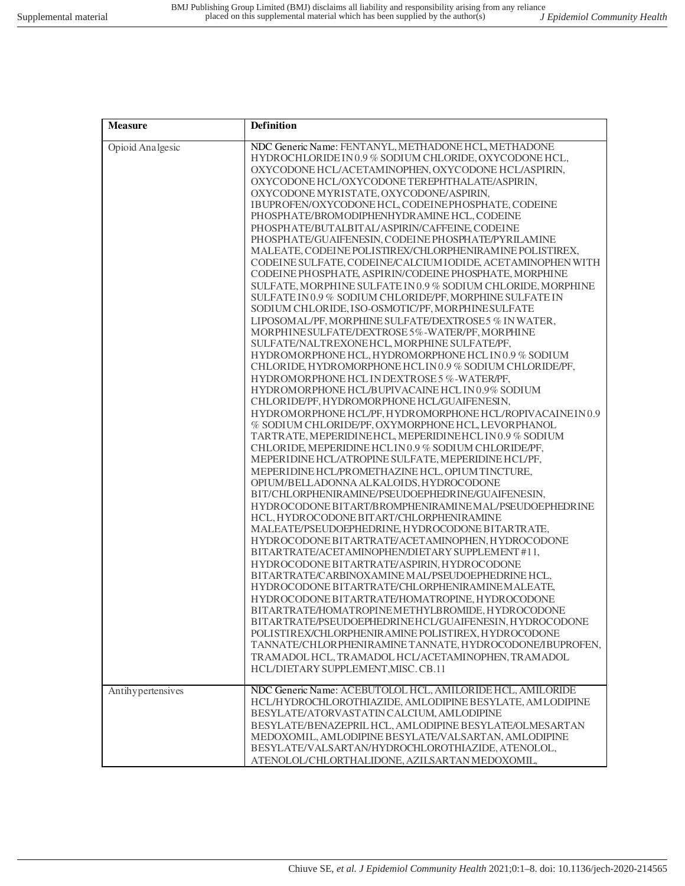| <b>Measure</b>    | <b>Definition</b>                                                                                                                                                                                                                                                                                                                                                                                                                                                                                                                                                                                                                                                                                                                                                                                                                                                                                                                                                                                                                                                                                                                                                                                                                                                                                                                                                                                                                                                                                                                                                                                                                                                                                                                                                                                                                                                                                                                                                                                                                                                                                                                                                                                                                                                                                                                                                                                                                                                                                                                             |
|-------------------|-----------------------------------------------------------------------------------------------------------------------------------------------------------------------------------------------------------------------------------------------------------------------------------------------------------------------------------------------------------------------------------------------------------------------------------------------------------------------------------------------------------------------------------------------------------------------------------------------------------------------------------------------------------------------------------------------------------------------------------------------------------------------------------------------------------------------------------------------------------------------------------------------------------------------------------------------------------------------------------------------------------------------------------------------------------------------------------------------------------------------------------------------------------------------------------------------------------------------------------------------------------------------------------------------------------------------------------------------------------------------------------------------------------------------------------------------------------------------------------------------------------------------------------------------------------------------------------------------------------------------------------------------------------------------------------------------------------------------------------------------------------------------------------------------------------------------------------------------------------------------------------------------------------------------------------------------------------------------------------------------------------------------------------------------------------------------------------------------------------------------------------------------------------------------------------------------------------------------------------------------------------------------------------------------------------------------------------------------------------------------------------------------------------------------------------------------------------------------------------------------------------------------------------------------|
| Opioid Analgesic  | NDC Generic Name: FENTANYL, METHADONE HCL, METHADONE<br>HYDROCHLORIDE IN 0.9 % SODIUM CHLORIDE, OXYCODONE HCL,<br>OXYCODONE HCL/ACETAMINOPHEN, OXYCODONE HCL/ASPIRIN,<br>OXYCODONE HCL/OXYCODONE TEREPHTHALATE/ASPIRIN,<br>OXYCODONE MYRISTATE, OXYCODONE/ASPIRIN,<br>IBUPROFEN/OXYCODONE HCL, CODEINEPHOSPHATE, CODEINE<br>PHOSPHATE/BROMODIPHENHYDRAMINE HCL, CODEINE<br>PHOSPHATE/BUTALBITAL/ASPIRIN/CAFFEINE, CODEINE<br>PHOSPHATE/GUAIFENESIN, CODEINE PHOSPHATE/PYRILAMINE<br>MALEATE, CODEINE POLISTIREX/CHLORPHENIRAMINE POLISTIREX,<br>CODEINE SULFATE, CODEINE/CALCIUM IODIDE, ACETAMINOPHEN WITH<br>CODEINE PHOSPHATE, ASPIRIN/CODEINE PHOSPHATE, MORPHINE<br>SULFATE, MORPHINE SULFATE IN 0.9 % SODIUM CHLORIDE, MORPHINE<br>SULFATE IN 0.9 % SODIUM CHLORIDE/PF, MORPHINE SULFATE IN<br>SODIUM CHLORIDE, ISO-OSMOTIC/PF, MORPHINE SULFATE<br>LIPOSOMAL/PF, MORPHINE SULFATE/DEXTROSE 5 % IN WATER,<br>MORPHINE SULFATE/DEXTROSE 5%-WATER/PF, MORPHINE<br>SULFATE/NALTREXONEHCL, MORPHINE SULFATE/PF,<br>HYDROMORPHONE HCL, HYDROMORPHONE HCL IN 0.9 % SODIUM<br>CHLORIDE, HYDROMORPHONE HCLIN0.9 % SODIUM CHLORIDE/PF,<br>HYDROMORPHONE HCL IN DEXTROSE 5 %-WATER/PF,<br>HYDROMORPHONE HCL/BUPIVACAINE HCL IN 0.9% SODIUM<br>CHLORIDE/PF, HYDROMORPHONE HCL/GUAIFENESIN,<br>HYDROMORPHONE HCL/PF, HYDROMORPHONE HCL/ROPIVACAINEIN0.9<br>% SODIUM CHLORIDE/PF, OXYMORPHONE HCL, LEVORPHANOL<br>TARTRATE, MEPERIDINEHCL, MEPERIDINEHCL IN 0.9 % SODIUM<br>CHLORIDE, MEPERIDINE HCLIN0.9 % SODIUM CHLORIDE/PF,<br>MEPERIDINE HCL/ATROPINE SULFATE, MEPERIDINE HCL/PF,<br>MEPERIDINE HCL/PROMETHAZINE HCL, OPIUM TINCTURE,<br>OPIUM/BELLADONNA ALKALOIDS, HYDROCODONE<br>BIT/CHLORPHENIRAMINE/PSEUDOEPHEDRINE/GUAIFENESIN,<br>HYDROCODONE BITART/BROMPHENIRAMINEMAL/PSEUDOEPHEDRINE<br>HCL, HYDROCODONE BITART/CHLORPHENIRAMINE<br>MALEATE/PSEUDOEPHEDRINE, HYDROCODONE BITARTRATE,<br>HYDROCODONE BITARTRATE/ACETAMINOPHEN, HYDROCODONE<br>BITARTRATE/ACETAMINOPHEN/DIETARY SUPPLEMENT #11,<br>HYDROCODONE BITARTRATE/ASPIRIN, HYDROCODONE<br>BITARTRATE/CARBINOXAMINE MAL/PSEUDOEPHEDRINE HCL,<br>HYDROCODONE BITARTRATE/CHLORPHENIRAMINEMALEATE,<br>HYDROCODONE BITARTRATE/HOMATROPINE, HYDROCODONE<br>BITARTRATE/HOMATROPINEMETHYLBROMIDE, HYDROCODONE<br>BITARTRATE/PSEUDOEPHEDRINEHCL/GUAIFENESIN, HYDROCODONE<br>POLISTIREX/CHLORPHENIRAMINE POLISTIREX, HYDROCODONE<br>TANNATE/CHLORPHENIRAMINE TANNATE, HYDROCODONE/IBUPROFEN,<br>TRAMADOL HCL, TRAMADOL HCL/ACETAMINOPHEN, TRAMADOL<br>HCL/DIETARY SUPPLEMENT, MISC. CB.11 |
| Antihypertensives | NDC Generic Name: ACEBUTOLOL HCL, AMILORIDE HCL, AMILORIDE<br>HCL/HYDROCHLOROTHIAZIDE, AMLODIPINE BESYLATE, AMLODIPINE<br>BESYLATE/ATORVASTATIN CALCIUM, AMLODIPINE<br>BESYLATE/BENAZEPRIL HCL, AMLODIPINE BESYLATE/OLMESARTAN<br>MEDOXOMIL, AMLODIPINE BESYLATE/VALSARTAN, AMLODIPINE<br>BESYLATE/VALSARTAN/HYDROCHLOROTHIAZIDE, ATENOLOL,<br>ATENOLOL/CHLORTHALIDONE, AZILSARTAN MEDOXOMIL,                                                                                                                                                                                                                                                                                                                                                                                                                                                                                                                                                                                                                                                                                                                                                                                                                                                                                                                                                                                                                                                                                                                                                                                                                                                                                                                                                                                                                                                                                                                                                                                                                                                                                                                                                                                                                                                                                                                                                                                                                                                                                                                                                 |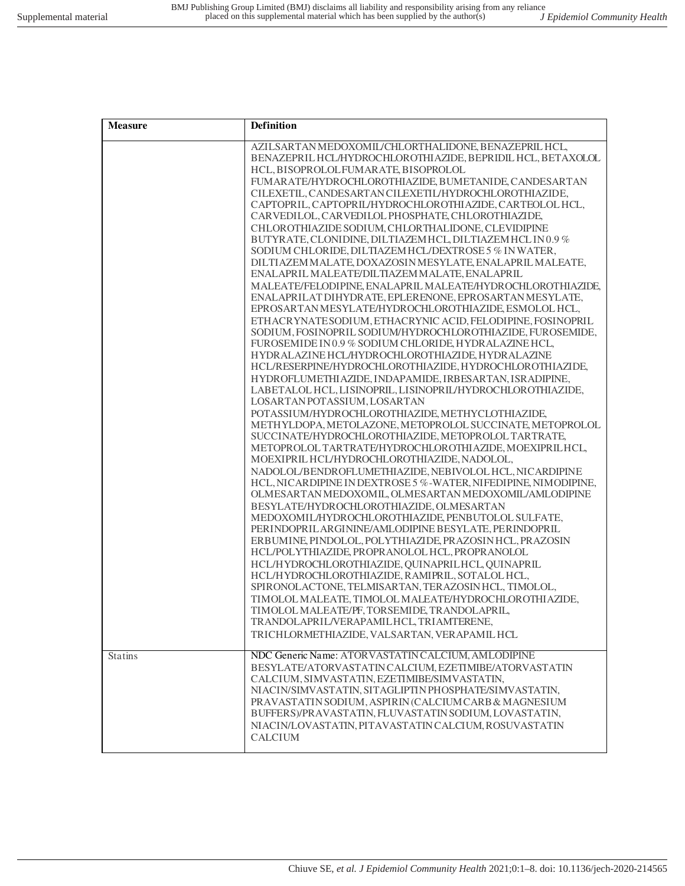| <b>Measure</b> | Definition                                                                                                                                                                                                                                                                                                                                                                                                                                                                                                                                                                                                                                                                                                                                                                                                                                                                                                                                                                                                                                                                                                                                                                                                                                                                                                                                                                                                                                                                                                                                                                                                                                                                                                                                                                                                                                                                                                                                                                                                                                                                                                                                                                                                                                                                                                                                                                                                                                                |
|----------------|-----------------------------------------------------------------------------------------------------------------------------------------------------------------------------------------------------------------------------------------------------------------------------------------------------------------------------------------------------------------------------------------------------------------------------------------------------------------------------------------------------------------------------------------------------------------------------------------------------------------------------------------------------------------------------------------------------------------------------------------------------------------------------------------------------------------------------------------------------------------------------------------------------------------------------------------------------------------------------------------------------------------------------------------------------------------------------------------------------------------------------------------------------------------------------------------------------------------------------------------------------------------------------------------------------------------------------------------------------------------------------------------------------------------------------------------------------------------------------------------------------------------------------------------------------------------------------------------------------------------------------------------------------------------------------------------------------------------------------------------------------------------------------------------------------------------------------------------------------------------------------------------------------------------------------------------------------------------------------------------------------------------------------------------------------------------------------------------------------------------------------------------------------------------------------------------------------------------------------------------------------------------------------------------------------------------------------------------------------------------------------------------------------------------------------------------------------------|
|                | AZILSARTAN MEDOXOMIL/CHLORTHALIDONE, BENAZEPRIL HCL,<br>BENAZEPRIL HCL/HYDROCHLOROTHI AZIDE, BEPRIDIL HCL, BETAXOLOL<br>HCL, BISOPROLOLFUMARATE, BISOPROLOL<br>FUMARATE/HYDROCHLOROTHIAZIDE, BUMETANIDE, CANDESARTAN<br>CILEXETIL, CANDESARTAN CILEXETIL/HYDROCHLOROTHIAZIDE,<br>CAPTOPRIL, CAPTOPRIL/HYDROCHLOROTHIAZIDE, CARTEOLOL HCL,<br>CARVEDILOL, CARVEDILOL PHOSPHATE, CHLOROTHIAZIDE,<br>CHLOROTHIAZIDE SODIUM, CHLORTHALIDONE, CLEVIDIPINE<br>BUTYRATE, CLONIDINE, DILTIAZEM HCL, DILTIAZEM HCL IN0.9%<br>SODIUM CHLORIDE, DILTIAZEM HCL/DEXTROSE 5 % IN WATER,<br>DILTIAZEM MALATE, DOXAZOSIN MESYLATE, ENALAPRIL MALEATE,<br>ENALAPRIL MALEATE/DILTIAZEM MALATE, ENALAPRIL<br>MALEATE/FELODIPINE, ENALAPRIL MALEATE/HYDROCHLOROTHIAZIDE,<br>ENALAPRILAT DIHYDRATE, EPLERENONE, EPROSARTAN MESYLATE,<br>EPROSARTAN MESYLATE/HYDROCHLOROTHIAZIDE, ESMOLOL HCL,<br>ETHACRYNATESODIUM, ETHACRYNIC ACID, FELODIPINE, FOSINOPRIL<br>SODIUM, FOSINOPRIL SODIUM/HYDROCHLOROTHIAZIDE, FUROSEMIDE,<br>FUROSEMIDE IN 0.9 % SODIUM CHLORIDE, HYDRALAZINE HCL,<br>HYDRALAZINE HCL/HYDROCHLOROTHIAZIDE, HYDRALAZINE<br>HCL/RESERPINE/HYDROCHLOROTHIAZIDE, HYDROCHLOROTHIAZIDE,<br>HYDROFLUMETHI AZIDE, INDAPAMIDE, IRBESARTAN, ISRADIPINE,<br>LABETALOL HCL, LISINOPRIL, LISINOPRIL/HYDROCHLOROTHIAZIDE,<br>LOSARTAN POTASSIUM, LOSARTAN<br>POTASSIUM/HYDROCHLOROTHIAZIDE, METHYCLOTHIAZIDE,<br>METHYLDOPA, METOLAZONE, METOPROLOL SUCCINATE, METOPROLOL<br>SUCCINATE/HYDROCHLOROTHIAZIDE, METOPROLOL TARTRATE,<br>METOPROLOL TARTRATE/HYDROCHLOROTHI AZIDE, MOEXIPRILHCL,<br>MOEXIPRIL HCL/HYDROCHLOROTHIAZIDE, NADOLOL,<br>NADOLOL/BENDROFLUMETHIAZIDE, NEBIVOLOL HCL, NICARDIPINE<br>HCL, NICARDIPINE IN DEXTROSE 5 %-WATER, NIFEDIPINE, NIMODIPINE,<br>OLMESARTAN MEDOXOMIL, OLMESARTAN MEDOXOMIL/AMLODIPINE<br>BESYLATE/HYDROCHLOROTHIAZIDE, OLMESARTAN<br>MEDOXOMIL/HYDROCHLOROTHIAZIDE, PENBUTOLOL SULFATE,<br>PERINDOPRILARGININE/AMLODIPINE BESYLATE, PERINDOPRIL<br>ERBUMINE, PINDOLOL, POLYTHIAZIDE, PRAZOSIN HCL, PRAZOSIN<br>HCL/POLYTHIAZIDE, PROPRANOLOL HCL, PROPRANOLOL<br>HCL/HYDROCHLOROTHIAZIDE, QUINAPRILHCL, QUINAPRIL<br>HCL/HYDROCHLOROTHIAZIDE, RAMIPRIL, SOTALOL HCL,<br>SPIRONOLACTONE, TELMISARTAN, TERAZOSIN HCL, TIMOLOL,<br>TIMOLOL MALEATE, TIMOLOL MALEATE/HYDROCHLOROTHIAZIDE,<br>TIMOLOL MALEATE/PF, TORSEMIDE, TRANDOLAPRIL,<br>TRANDOLAPRIL/VERAPAMILHCL, TRIAMTERENE,<br>TRICHLORMETHIAZIDE, VALSARTAN, VERAPAMIL HCL |
| <b>Statins</b> | NDC Generic Name: ATORVASTATIN CALCIUM, AMLODIPINE<br>BESYLATE/ATORVASTATIN CALCIUM, EZETIMIBE/ATORVASTATIN<br>CALCIUM, SIMVASTATIN, EZETIMIBE/SIMVASTATIN,<br>NIACIN/SIMVASTATIN, SITAGLIPTIN PHOSPHATE/SIMVASTATIN,<br>PRAVASTATIN SODIUM, ASPIRIN (CALCIUM CARB & MAGNESIUM<br>BUFFERS)/PRAVASTATIN, FLUVASTATIN SODIUM, LOVASTATIN,<br>NIACIN/LOVASTATIN, PITAVASTATIN CALCIUM, ROSUVASTATIN<br><b>CALCIUM</b>                                                                                                                                                                                                                                                                                                                                                                                                                                                                                                                                                                                                                                                                                                                                                                                                                                                                                                                                                                                                                                                                                                                                                                                                                                                                                                                                                                                                                                                                                                                                                                                                                                                                                                                                                                                                                                                                                                                                                                                                                                        |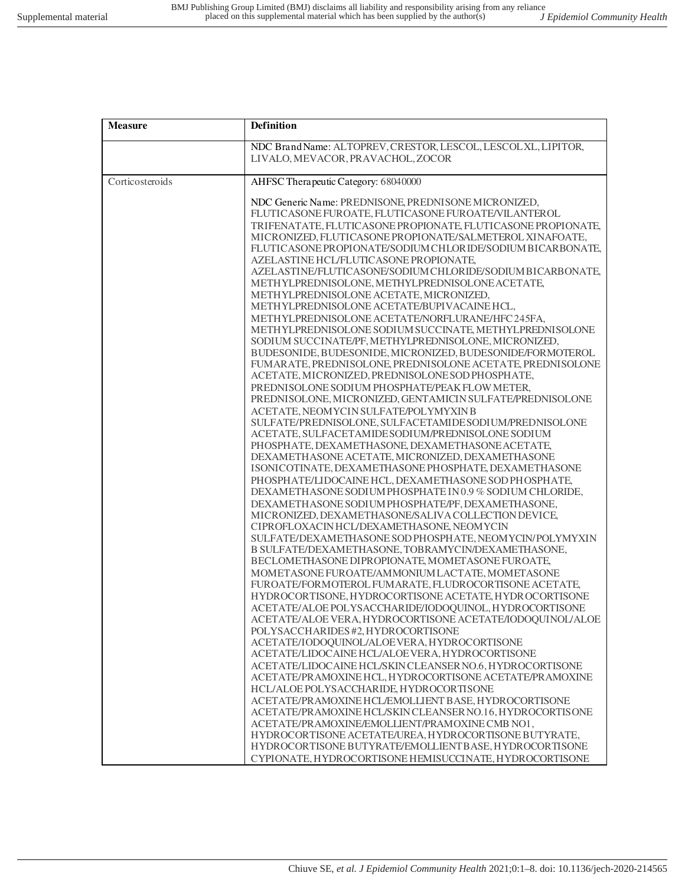| <b>Measure</b>  | Definition                                                                                         |
|-----------------|----------------------------------------------------------------------------------------------------|
|                 | NDC Brand Name: ALTOPREV, CRESTOR, LESCOL, LESCOL XL, LIPITOR,                                     |
|                 | LIVALO, MEVACOR, PRAVACHOL, ZOCOR                                                                  |
| Corticosteroids | AHFSC Therapeutic Category: 68040000                                                               |
|                 | NDC Generic Name: PREDNISONE, PREDNISONE MICRONIZED,                                               |
|                 | FLUTICASONE FUROATE, FLUTICASONE FUROATE/VILANTEROL                                                |
|                 | TRIFENATATE, FLUTICASONE PROPIONATE, FLUTICASONE PROPIONATE,                                       |
|                 | MICRONIZED, FLUTICASONE PROPIONATE/SALMETEROL XINAFOATE,                                           |
|                 | FLUTICASONE PROPIONATE/SODIUM CHLORIDE/SODIUM BICARBONATE,                                         |
|                 | AZELASTINE HCL/FLUTICASONE PROPIONATE,                                                             |
|                 | AZELASTINE/FLUTICASONE/SODIUM CHLORIDE/SODIUM BICARBONATE,                                         |
|                 | METHYLPREDNISOLONE, METHYLPREDNISOLONE ACETATE,<br>METHYLPREDNISOLONE ACETATE, MICRONIZED,         |
|                 | METHYLPREDNISOLONE ACETATE/BUPIVACAINE HCL,                                                        |
|                 | METHYLPREDNISOLONE ACETATE/NORFLURANE/HFC245FA,                                                    |
|                 | METHYLPREDNISOLONE SODIUM SUCCINATE, METHYLPREDNISOLONE                                            |
|                 | SODIUM SUCCINATE/PF, METHYLPREDNISOLONE, MICRONIZED,                                               |
|                 | BUDESONIDE, BUDESONIDE, MICRONIZED, BUDESONIDE/FORMOTEROL                                          |
|                 | FUMARATE, PREDNISOLONE, PREDNISOLONE ACETATE, PREDNISOLONE                                         |
|                 | ACETATE, MICRONIZED, PREDNISOLONE SOD PHOSPHATE,                                                   |
|                 | PREDNISOLONE SODIUM PHOSPHATE/PEAK FLOW METER,                                                     |
|                 | PREDNISOLONE, MICRONIZED, GENTAMICIN SULFATE/PREDNISOLONE<br>ACETATE, NEOMYCIN SULFATE/POLYMYXIN B |
|                 | SULFATE/PREDNISOLONE, SULFACETAMIDE SODIUM/PREDNISOLONE                                            |
|                 | ACETATE, SULFACETAMIDESODIUM/PREDNISOLONE SODIUM                                                   |
|                 | PHOSPHATE, DEXAMETHASONE, DEXAMETHASONE ACETATE,                                                   |
|                 | DEXAMETHASONE ACETATE, MICRONIZED, DEXAMETHASONE                                                   |
|                 | ISONICOTINATE, DEXAMETHASONE PHOSPHATE, DEXAMETHASONE                                              |
|                 | PHOSPHATE/LIDOCAINE HCL, DEXAMETHASONE SOD PHOSPHATE,                                              |
|                 | DEXAMETHASONE SODIUM PHOSPHATE IN 0.9 % SODIUM CHLORIDE,                                           |
|                 | DEXAMETHASONE SODIUM PHOSPHATE/PF, DEXAMETHASONE,                                                  |
|                 | MICRONIZED, DEXAMETHASONE/SALIVA COLLECTION DEVICE,<br>CIPROFLOXACINHCL/DEXAMETHASONE, NEOMYCIN    |
|                 | SULFATE/DEXAMETHASONE SOD PHOSPHATE, NEOMYCIN/POLYMYXIN                                            |
|                 | B SULFATE/DEXAMETHASONE, TOBRAMYCIN/DEXAMETHASONE,                                                 |
|                 | BECLOMETHASONE DIPROPIONATE, MOMETASONE FUROATE,                                                   |
|                 | MOMETASONE FUROATE/AMMONIUM LACTATE, MOMETASONE                                                    |
|                 | FUROATE/FORMOTEROL FUMARATE, FLUDROCORTISONE ACETATE,                                              |
|                 | HYDROCORTISONE, HYDROCORTISONE ACETATE, HYDROCORTISONE                                             |
|                 | ACETATE/ALOE POLYSACCHARIDE/IODOQUINOL, HYDROCORTISONE                                             |
|                 | ACETATE/ALOE VERA, HYDROCORTISONE ACETATE/IODOQUINOL/ALOE                                          |
|                 | POLYSACCHARIDES #2, HYDROCORTISONE                                                                 |
|                 | ACETATE/IODOQUINOL/ALOEVERA, HYDROCORTISONE<br>ACETATE/LIDOCAINE HCL/ALOEVERA, HYDROCORTISONE      |
|                 | ACETATE/LIDOCAINE HCL/SKIN CLEANSER NO.6, HYDROCORTISONE                                           |
|                 | ACETATE/PRAMOXINE HCL, HYDROCORTISONE ACETATE/PRAMOXINE                                            |
|                 | HCL/ALOE POLYSACCHARIDE, HYDROCORTISONE                                                            |
|                 | ACETATE/PRAMOXINE HCL/EMOLLIENT BASE, HYDROCORTISONE                                               |
|                 | ACETATE/PRAMOXINE HCL/SKIN CLEANSER NO.16, HYDROCORTISONE                                          |
|                 | ACETATE/PRAMOXINE/EMOLLIENT/PRAMOXINE CMB NO1,                                                     |
|                 | HYDROCORTISONE ACETATE/UREA, HYDROCORTISONE BUTYRATE,                                              |
|                 | HYDROCORTISONE BUTYRATE/EMOLLIENT BASE, HYDROCORTISONE                                             |
|                 | CYPIONATE, HYDROCORTISONE HEMISUCCINATE, HYDROCORTISONE                                            |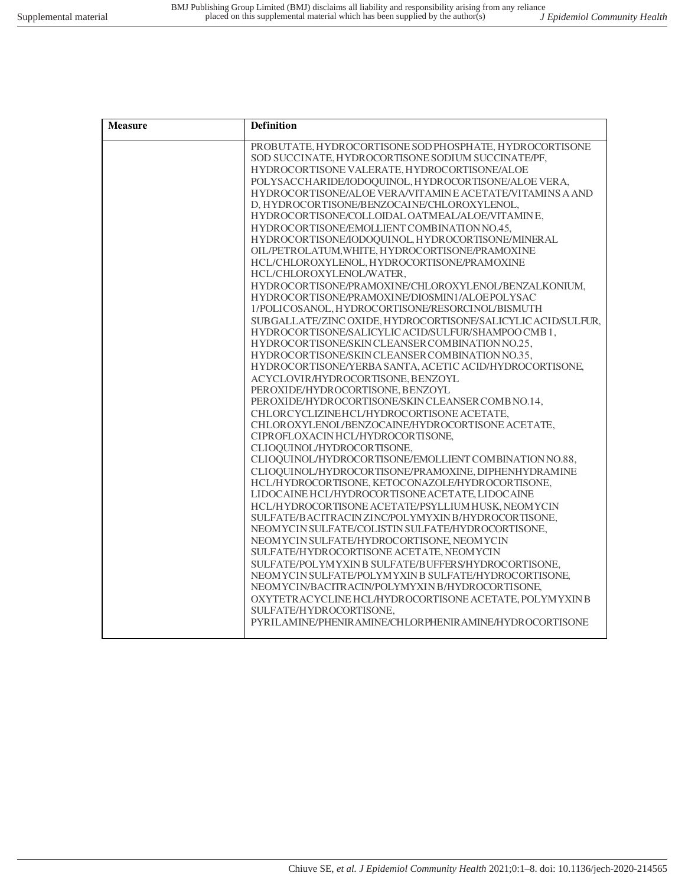| <b>Measure</b> | <b>Definition</b>                                                                                   |
|----------------|-----------------------------------------------------------------------------------------------------|
|                | PROBUTATE, HYDROCORTISONE SOD PHOSPHATE, HYDROCORTISONE                                             |
|                | SOD SUCCINATE, HYDROCORTISONE SODIUM SUCCINATE/PF,                                                  |
|                | HYDROCORTISONE VALERATE, HYDROCORTISONE/ALOE                                                        |
|                | POLYSACCHARIDE/IODOQUINOL, HYDROCORTISONE/ALOE VERA,                                                |
|                | HYDROCORTISONE/ALOE VERA/VITAMINE ACETATE/VITAMINS A AND                                            |
|                | D, HYDROCORTISONE/BENZOCAINE/CHLOROXYLENOL,                                                         |
|                | HYDROCORTISONE/COLLOIDAL OATMEAL/ALOE/VITAMINE,                                                     |
|                | HYDROCORTISONE/EMOLLIENT COMBINATION NO.45,<br>HYDROCORTISONE/IODOQUINOL, HYDROCORTISONE/MINERAL    |
|                | OIL/PETROLATUM, WHITE, HYDROCORTISONE/PRAMOXINE                                                     |
|                | HCL/CHLOROXYLENOL, HYDROCORTISONE/PRAMOXINE                                                         |
|                | HCL/CHLOROXYLENOL/WATER,                                                                            |
|                | HYDROCORTISONE/PRAMOXINE/CHLOROXYLENOL/BENZALKONIUM,                                                |
|                | HYDROCORTISONE/PRAMOXINE/DIOSMIN1/ALOEPOLYSAC                                                       |
|                | 1/POLICOSANOL, HYDROCORTISONE/RESORCINOL/BISMUTH                                                    |
|                | SUBGALLATE/ZINC OXIDE, HYDROCORTISONE/SALICYLIC ACID/SULFUR,                                        |
|                | HYDROCORTISONE/SALICYLIC ACID/SULFUR/SHAMPOO CMB 1.                                                 |
|                | HYDROCORTISONE/SKIN CLEANSER COMBINATION NO.25,                                                     |
|                | HYDROCORTISONE/SKIN CLEANSER COMBINATION NO.35,                                                     |
|                | HYDROCORTISONE/YERBA SANTA, ACETIC ACID/HYDROCORTISONE,                                             |
|                | ACYCLOVIR/HYDROCORTISONE, BENZOYL                                                                   |
|                | PEROXIDE/HYDROCORTISONE, BENZOYL                                                                    |
|                | PEROXIDE/HYDROCORTISONE/SKIN CLEANSER COMB NO.14,                                                   |
|                | CHLORCYCLIZINEHCL/HYDROCORTISONE ACETATE,                                                           |
|                | CHLOROXYLENOL/BENZOCAINE/HYDROCORTISONE ACETATE,                                                    |
|                | CIPROFLOXACINHCL/HYDROCORTISONE,                                                                    |
|                | CLIOQUINOL/HYDROCORTISONE,                                                                          |
|                | CLIOQUINOL/HYDROCORTISONE/EMOLLIENT COMBINATION NO.88,                                              |
|                | CLIOQUINOL/HYDROCORTISONE/PRAMOXINE, DIPHENHYDRAMINE                                                |
|                | HCL/HYDROCORTISONE, KETOCONAZOLE/HYDROCORTISONE,<br>LIDOCAINE HCL/HYDROCORTISONE ACETATE, LIDOCAINE |
|                | HCL/HYDROCORTISONE ACETATE/PSYLLIUM HUSK, NEOMYCIN                                                  |
|                | SULFATE/BACITRACINZINC/POLYMYXIN B/HYDROCORTISONE,                                                  |
|                | NEOMYCIN SULFATE/COLISTIN SULFATE/HYDROCORTISONE,                                                   |
|                | NEOMYCIN SULFATE/HYDROCORTISONE, NEOMYCIN                                                           |
|                | SULFATE/HYDROCORTISONE ACETATE, NEOMYCIN                                                            |
|                | SULFATE/POLYMYXINB SULFATE/BUFFERS/HYDROCORTISONE,                                                  |
|                | NEOMYCIN SULFATE/POLYMYXIN B SULFATE/HYDROCORTISONE,                                                |
|                | NEOMYCIN/BACITRACIN/POLYMYXIN B/HYDROCORTISONE,                                                     |
|                | OXYTETRACYCLINE HCL/HYDROCORTISONE ACETATE, POLYMYXIN B                                             |
|                | SULFATE/HYDROCORTISONE.                                                                             |
|                | PYRILAMINE/PHENIRAMINE/CHLORPHENIRAMINE/HYDROCORTISONE                                              |
|                |                                                                                                     |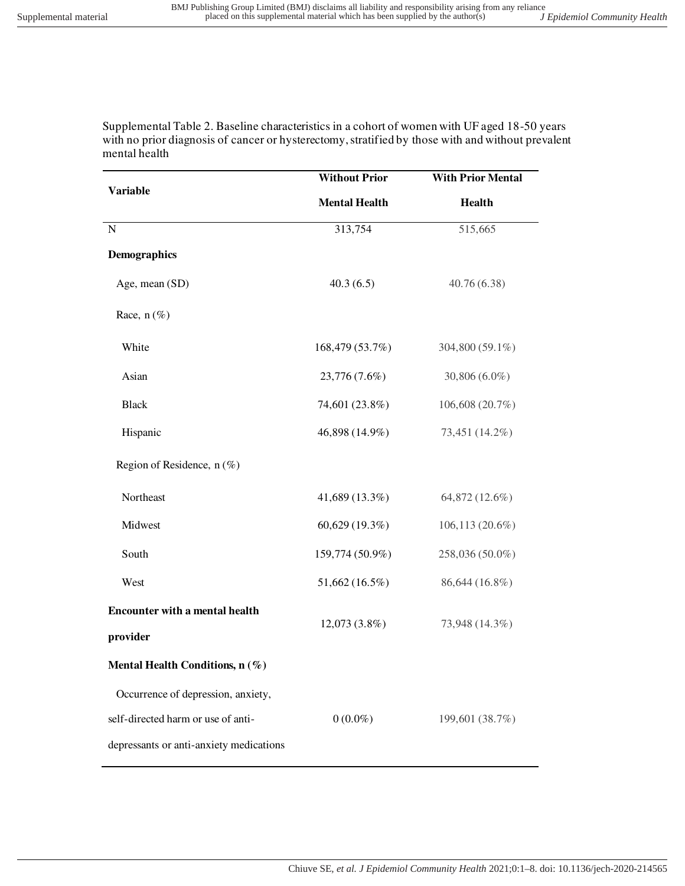Supplemental Table 2. Baseline characteristics in a cohort of women with UF aged 18-50 years with no prior diagnosis of cancer or hysterectomy, stratified by those with and without prevalent mental health

|                                         | <b>Without Prior</b> | <b>With Prior Mental</b><br><b>Health</b> |  |
|-----------------------------------------|----------------------|-------------------------------------------|--|
| <b>Variable</b>                         | <b>Mental Health</b> |                                           |  |
| ${\bf N}$                               | 313,754              | 515,665                                   |  |
| <b>Demographics</b>                     |                      |                                           |  |
| Age, mean (SD)                          | 40.3(6.5)            | 40.76(6.38)                               |  |
| Race, $n$ (%)                           |                      |                                           |  |
| White                                   | 168,479 (53.7%)      | 304,800 (59.1%)                           |  |
| Asian                                   | 23,776 (7.6%)        | 30,806 (6.0%)                             |  |
| <b>Black</b>                            | 74,601 (23.8%)       | 106,608 (20.7%)                           |  |
| Hispanic                                | 46,898 (14.9%)       | 73,451 (14.2%)                            |  |
| Region of Residence, $n(\%)$            |                      |                                           |  |
| Northeast                               | 41,689 (13.3%)       | 64,872 (12.6%)                            |  |
| Midwest                                 | 60,629 (19.3%)       | 106,113 (20.6%)                           |  |
| South                                   | 159,774 (50.9%)      | 258,036 (50.0%)                           |  |
| West                                    | 51,662 (16.5%)       | 86,644 (16.8%)                            |  |
| <b>Encounter with a mental health</b>   | 12,073 (3.8%)        | 73,948 (14.3%)                            |  |
| provider                                |                      |                                           |  |
| Mental Health Conditions, n (%)         |                      |                                           |  |
| Occurrence of depression, anxiety,      |                      |                                           |  |
| self-directed harm or use of anti-      | $0(0.0\%)$           | 199,601 (38.7%)                           |  |
| depressants or anti-anxiety medications |                      |                                           |  |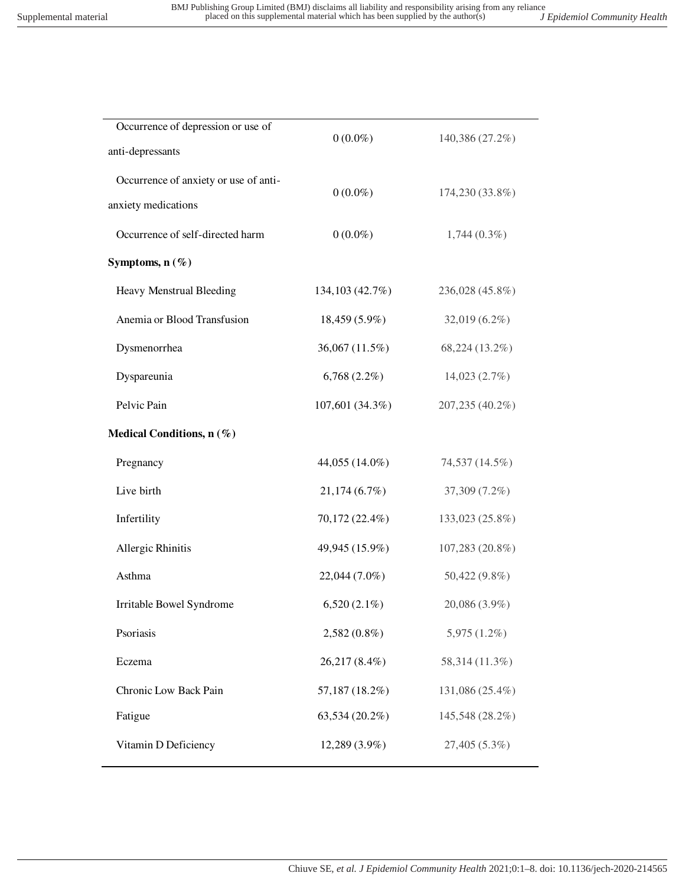| Occurrence of depression or use of<br>anti-depressants       | $0(0.0\%)$       | 140,386 (27.2%) |
|--------------------------------------------------------------|------------------|-----------------|
| Occurrence of anxiety or use of anti-<br>anxiety medications | $0(0.0\%)$       | 174,230 (33.8%) |
| Occurrence of self-directed harm                             | $0(0.0\%)$       | $1,744(0.3\%)$  |
| Symptoms, $n(\%)$                                            |                  |                 |
| Heavy Menstrual Bleeding                                     | 134, 103 (42.7%) | 236,028 (45.8%) |
| Anemia or Blood Transfusion                                  | $18,459(5.9\%)$  | 32,019 (6.2%)   |
| Dysmenorrhea                                                 | 36,067 (11.5%)   | 68,224 (13.2%)  |
| Dyspareunia                                                  | $6,768(2.2\%)$   | 14,023 (2.7%)   |
| Pelvic Pain                                                  | 107,601 (34.3%)  | 207,235 (40.2%) |
| Medical Conditions, n (%)                                    |                  |                 |
| Pregnancy                                                    | 44,055 (14.0%)   | 74,537 (14.5%)  |
| Live birth                                                   | 21,174(6.7%)     | 37,309 (7.2%)   |
| Infertility                                                  | 70,172 (22.4%)   | 133,023 (25.8%) |
| Allergic Rhinitis                                            | 49,945 (15.9%)   | 107,283 (20.8%) |
| Asthma                                                       | 22,044 (7.0%)    | 50,422 (9.8%)   |
| Irritable Bowel Syndrome                                     | $6,520(2.1\%)$   | 20,086 (3.9%)   |
| Psoriasis                                                    | $2,582(0.8\%)$   | $5,975(1.2\%)$  |
| Eczema                                                       | 26,217 (8.4%)    | 58,314 (11.3%)  |
| Chronic Low Back Pain                                        | 57,187 (18.2%)   | 131,086 (25.4%) |
| Fatigue                                                      | 63,534 (20.2%)   | 145,548 (28.2%) |
| Vitamin D Deficiency                                         | 12,289 (3.9%)    | 27,405 (5.3%)   |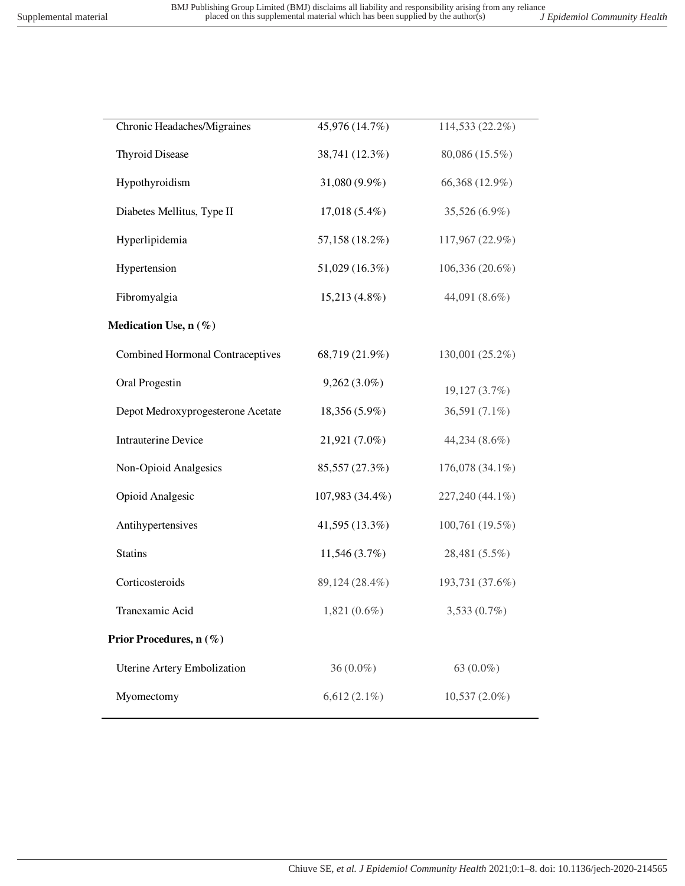| Chronic Headaches/Migraines             | 45,976 (14.7%)  | 114,533 (22.2%) |
|-----------------------------------------|-----------------|-----------------|
| <b>Thyroid Disease</b>                  | 38,741 (12.3%)  | 80,086 (15.5%)  |
| Hypothyroidism                          | 31,080 (9.9%)   | 66,368 (12.9%)  |
| Diabetes Mellitus, Type II              | $17,018(5.4\%)$ | 35,526 (6.9%)   |
| Hyperlipidemia                          | 57,158 (18.2%)  | 117,967 (22.9%) |
| Hypertension                            | 51,029 (16.3%)  | 106,336 (20.6%) |
| Fibromyalgia                            | $15,213(4.8\%)$ | 44,091 (8.6%)   |
| Medication Use, n (%)                   |                 |                 |
| <b>Combined Hormonal Contraceptives</b> | 68,719 (21.9%)  | 130,001 (25.2%) |
| Oral Progestin                          | $9,262(3.0\%)$  | 19,127 (3.7%)   |
| Depot Medroxyprogesterone Acetate       | 18,356 (5.9%)   | 36,591 (7.1%)   |
| <b>Intrauterine Device</b>              | 21,921 (7.0%)   | 44,234 (8.6%)   |
| Non-Opioid Analgesics                   | 85,557 (27.3%)  | 176,078 (34.1%) |
| Opioid Analgesic                        | 107,983 (34.4%) | 227,240 (44.1%) |
| Antihypertensives                       | 41,595 (13.3%)  | 100,761 (19.5%) |
| <b>Statins</b>                          | 11,546(3.7%)    | 28,481 (5.5%)   |
| Corticosteroids                         | 89,124 (28.4%)  | 193,731 (37.6%) |
| Tranexamic Acid                         | $1,821(0.6\%)$  | $3,533(0.7\%)$  |
| Prior Procedures, n (%)                 |                 |                 |
| Uterine Artery Embolization             | $36(0.0\%)$     | 63 (0.0%)       |
| Myomectomy                              | $6,612(2.1\%)$  | $10,537(2.0\%)$ |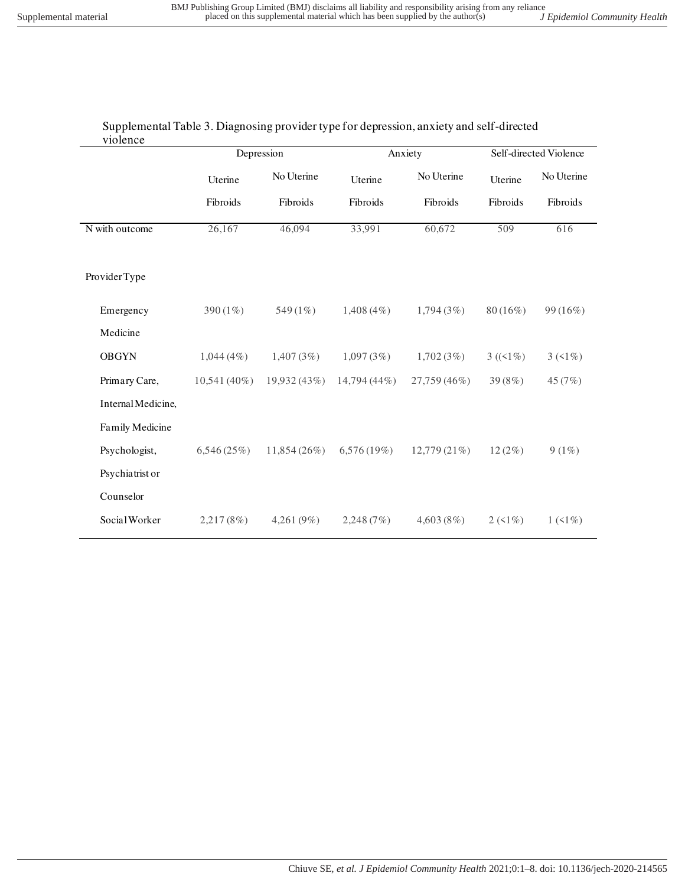| Supplemental Table 3. Diagnosing provider type for depression, anxiety and self-directed |
|------------------------------------------------------------------------------------------|
| violence                                                                                 |

|                    | Depression     |               | Anxiety        |              | Self-directed Violence |            |
|--------------------|----------------|---------------|----------------|--------------|------------------------|------------|
|                    | Uterine        | No Uterine    | Uterine        | No Uterine   | Uterine                | No Uterine |
|                    | Fibroids       | Fibroids      | Fibroids       | Fibroids     | Fibroids               | Fibroids   |
| N with outcome     | 26,167         | 46,094        | 33,991         | 60,672       | 509                    | 616        |
| Provider Type      |                |               |                |              |                        |            |
| Emergency          | 390 $(1\%)$    | 549 (1%)      | $1,408(4\%)$   | 1,794(3%)    | $80(16\%)$             | 99(16%)    |
| Medicine           |                |               |                |              |                        |            |
| <b>OBGYN</b>       | $1,044(4\%)$   | 1,407(3%)     | 1,097(3%)      | 1,702(3%)    | $3 ((1\%)$             | $3(51\%)$  |
| Primary Care,      | $10,541(40\%)$ | 19,932 (43%)  | $14,794(44\%)$ | 27,759 (46%) | 39 (8%)                | 45 (7%)    |
| Internal Medicine, |                |               |                |              |                        |            |
| Family Medicine    |                |               |                |              |                        |            |
| Psychologist,      | 6,546(25%)     | 11,854(26%)   | 6,576 (19%)    | 12,779 (21%) | 12(2%)                 | $9(1\%)$   |
| Psychiatrist or    |                |               |                |              |                        |            |
| Counselor          |                |               |                |              |                        |            |
| Social Worker      | 2,217(8%)      | 4,261 $(9\%)$ | 2,248(7%)      | 4,603(8%)    | $2(1\%)$               | $1(1\%)$   |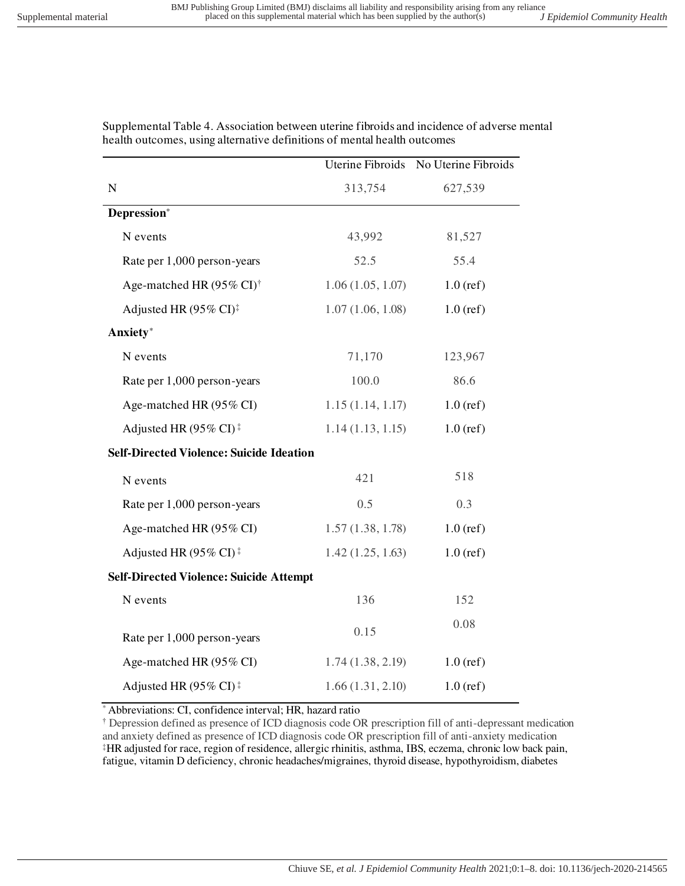|                                                       | Uterine Fibroids | No Uterine Fibroids |
|-------------------------------------------------------|------------------|---------------------|
| ${\bf N}$                                             | 313,754          | 627,539             |
| Depression*                                           |                  |                     |
| N events                                              | 43,992           | 81,527              |
| Rate per 1,000 person-years                           | 52.5             | 55.4                |
| Age-matched HR (95% CI) <sup>†</sup>                  | 1.06(1.05, 1.07) | $1.0$ (ref)         |
| Adjusted HR (95% CI) <sup>‡</sup>                     | 1.07(1.06, 1.08) | $1.0$ (ref)         |
| Anxiety*                                              |                  |                     |
| N events                                              | 71,170           | 123,967             |
| Rate per 1,000 person-years                           | 100.0            | 86.6                |
| Age-matched HR (95% CI)                               | 1.15(1.14, 1.17) | $1.0$ (ref)         |
| Adjusted HR (95% CI) <sup><math>\ddagger</math></sup> | 1.14(1.13, 1.15) | $1.0$ (ref)         |
| <b>Self-Directed Violence: Suicide Ideation</b>       |                  |                     |
| N events                                              | 421              | 518                 |
| Rate per 1,000 person-years                           | 0.5              | 0.3                 |
| Age-matched HR (95% CI)                               | 1.57(1.38, 1.78) | $1.0$ (ref)         |
| Adjusted HR (95% CI) <sup><math>\ddagger</math></sup> | 1.42(1.25, 1.63) | $1.0$ (ref)         |
| <b>Self-Directed Violence: Suicide Attempt</b>        |                  |                     |
| N events                                              | 136              | 152                 |
| Rate per 1,000 person-years                           | 0.15             | 0.08                |
| Age-matched HR (95% CI)                               | 1.74(1.38, 2.19) | $1.0$ (ref)         |
| Adjusted HR (95% CI) <sup><math>\ddagger</math></sup> | 1.66(1.31, 2.10) | $1.0$ (ref)         |

Supplemental Table 4. Association between uterine fibroids and incidence of adverse mental health outcomes, using alternative definitions of mental health outcomes

Abbreviations: CI, confidence interval; HR, hazard ratio

† Depression defined as presence of ICD diagnosis code OR prescription fill of anti-depressant medication and anxiety defined as presence of ICD diagnosis code OR prescription fill of anti-anxiety medication ‡HR adjusted for race, region of residence, allergic rhinitis, asthma, IBS, eczema, chronic low back pain, fatigue, vitamin D deficiency, chronic headaches/migraines, thyroid disease, hypothyroidism, diabetes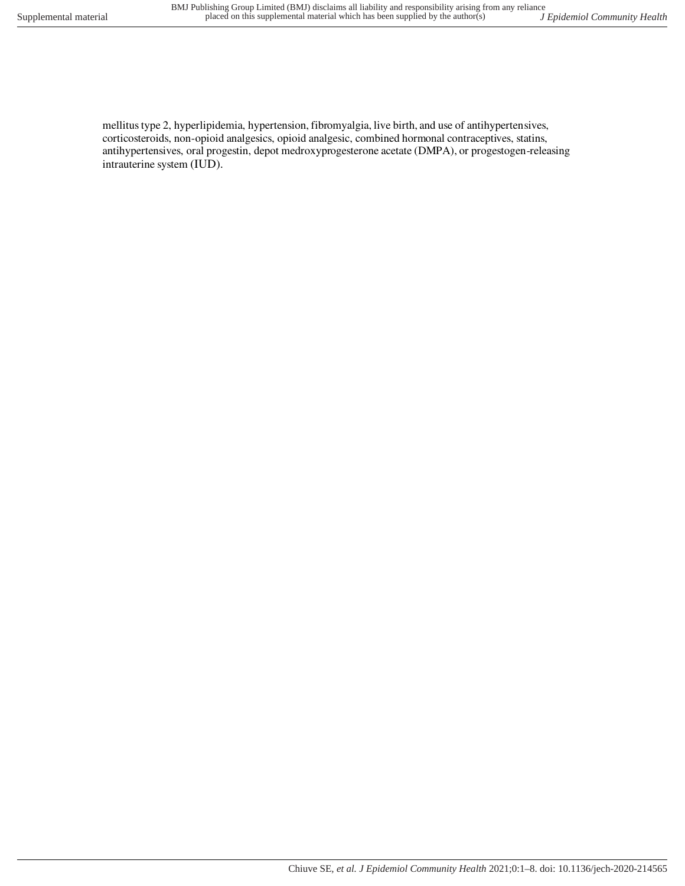mellitus type 2, hyperlipidemia, hypertension, fibromyalgia, live birth, and use of antihypertensives, corticosteroids, non-opioid analgesics, opioid analgesic, combined hormonal contraceptives, statins, antihypertensives, oral progestin, depot medroxyprogesterone acetate (DMPA), or progestogen-releasing intrauterine system (IUD).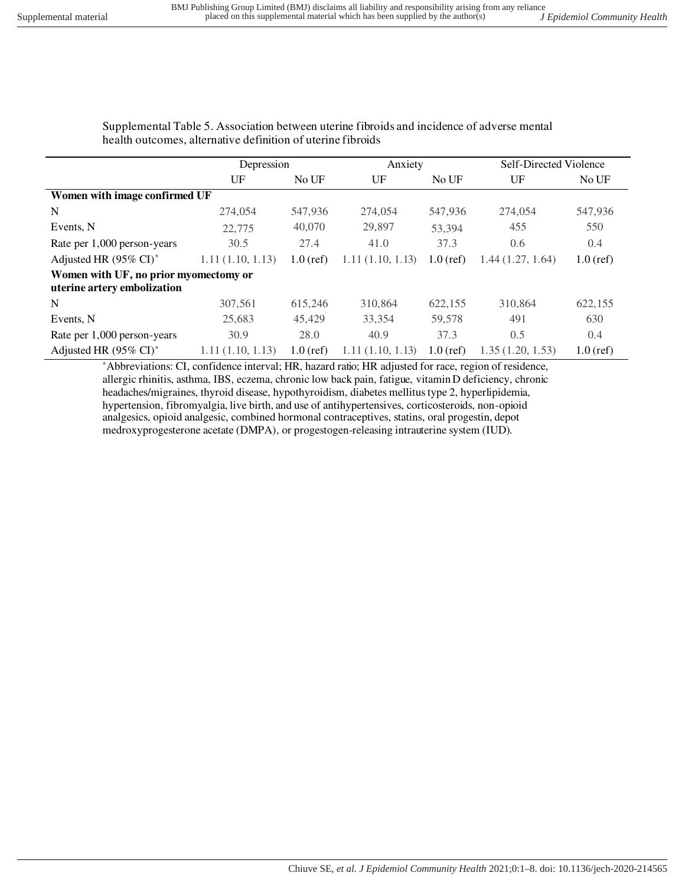Supplemental Table 5. Association between uterine fibroids and incidence of adverse mental health outcomes, alternative definition of uterine fibroids

|                                                                      | Depression       |             |                  | Anxiety     |                  | Self-Directed Violence |  |
|----------------------------------------------------------------------|------------------|-------------|------------------|-------------|------------------|------------------------|--|
|                                                                      | UF               | No UF       | UF               | No UF       | UF               | No UF                  |  |
| Women with image confirmed UF                                        |                  |             |                  |             |                  |                        |  |
| N                                                                    | 274,054          | 547,936     | 274,054          | 547,936     | 274,054          | 547,936                |  |
| Events, N                                                            | 22,775           | 40,070      | 29,897           | 53.394      | 455              | 550                    |  |
| Rate per 1,000 person-years                                          | 30.5             | 27.4        | 41.0             | 37.3        | 0.6              | 0.4                    |  |
| Adjusted HR (95% CI) <sup>*</sup>                                    | 1.11(1.10, 1.13) | $1.0$ (ref) | 1.11(1.10, 1.13) | $1.0$ (ref) | 1.44(1.27, 1.64) | $1.0$ (ref)            |  |
| Women with UF, no prior myomectomy or<br>uterine artery embolization |                  |             |                  |             |                  |                        |  |
| N                                                                    | 307,561          | 615,246     | 310,864          | 622,155     | 310,864          | 622,155                |  |
| Events, N                                                            | 25,683           | 45,429      | 33,354           | 59,578      | 491              | 630                    |  |
| Rate per 1,000 person-years                                          | 30.9             | 28.0        | 40.9             | 37.3        | 0.5              | 0.4                    |  |
| Adjusted HR (95% CI) <sup>*</sup>                                    | 1.11(1.10, 1.13) | $1.0$ (ref) | 1.11(1.10, 1.13) | $1.0$ (ref) | 1.35(1.20, 1.53) | $1.0$ (ref)            |  |

\*Abbreviations: CI, confidence interval; HR, hazard ratio; HR adjusted for race, region of residence, allergic rhinitis, asthma, IBS, eczema, chronic low back pain, fatigue, vitamin D deficiency, chronic headaches/migraines, thyroid disease, hypothyroidism, diabetes mellitus type 2, hyperlipidemia, hypertension, fibromyalgia, live birth, and use of antihypertensives, corticosteroids, non-opioid analgesics, opioid analgesic, combined hormonal contraceptives, statins, oral progestin, depot medroxyprogesterone acetate (DMPA), or progestogen-releasing intrauterine system (IUD).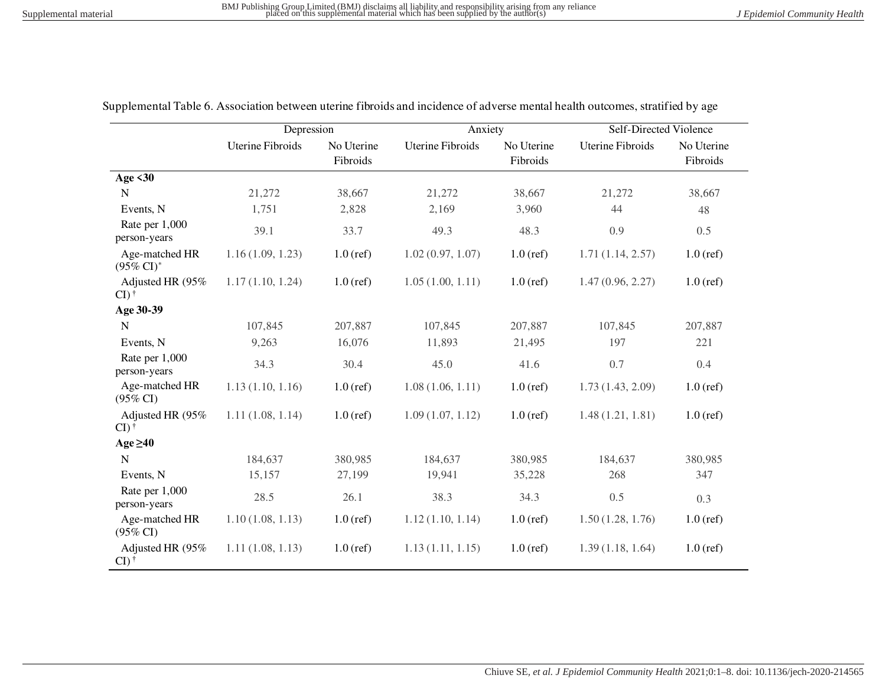|                                         | Depression              |                        | Anxiety                 |                        | <b>Self-Directed Violence</b> |                        |
|-----------------------------------------|-------------------------|------------------------|-------------------------|------------------------|-------------------------------|------------------------|
|                                         | <b>Uterine Fibroids</b> | No Uterine<br>Fibroids | <b>Uterine Fibroids</b> | No Uterine<br>Fibroids | <b>Uterine Fibroids</b>       | No Uterine<br>Fibroids |
| <b>Age &lt;30</b>                       |                         |                        |                         |                        |                               |                        |
| $\mathbf N$                             | 21,272                  | 38,667                 | 21,272                  | 38,667                 | 21,272                        | 38,667                 |
| Events, N                               | 1,751                   | 2,828                  | 2,169                   | 3,960                  | 44                            | 48                     |
| Rate per 1,000<br>person-years          | 39.1                    | 33.7                   | 49.3                    | 48.3                   | 0.9                           | 0.5                    |
| Age-matched HR<br>$(95\% \text{ CI})^*$ | 1.16(1.09, 1.23)        | $1.0$ (ref)            | 1.02(0.97, 1.07)        | $1.0$ (ref)            | 1.71(1.14, 2.57)              | $1.0$ (ref)            |
| Adjusted HR (95%<br>$CI)$ <sup>†</sup>  | 1.17(1.10, 1.24)        | $1.0$ (ref)            | 1.05(1.00, 1.11)        | $1.0$ (ref)            | 1.47(0.96, 2.27)              | $1.0$ (ref)            |
| Age 30-39                               |                         |                        |                         |                        |                               |                        |
| N                                       | 107,845                 | 207,887                | 107,845                 | 207,887                | 107,845                       | 207,887                |
| Events, N                               | 9,263                   | 16,076                 | 11,893                  | 21,495                 | 197                           | 221                    |
| Rate per 1,000<br>person-years          | 34.3                    | 30.4                   | 45.0                    | 41.6                   | 0.7                           | 0.4                    |
| Age-matched HR<br>$(95\% \text{ CI})$   | 1.13(1.10, 1.16)        | $1.0$ (ref)            | 1.08(1.06, 1.11)        | $1.0$ (ref)            | 1.73(1.43, 2.09)              | $1.0$ (ref)            |
| Adjusted HR (95%<br>$CI)$ <sup>†</sup>  | 1.11(1.08, 1.14)        | $1.0$ (ref)            | 1.09(1.07, 1.12)        | $1.0$ (ref)            | 1.48(1.21, 1.81)              | $1.0$ (ref)            |
| Age $\geq 40$                           |                         |                        |                         |                        |                               |                        |
| $\mathbf N$                             | 184,637                 | 380,985                | 184,637                 | 380,985                | 184,637                       | 380,985                |
| Events, N                               | 15,157                  | 27,199                 | 19,941                  | 35,228                 | 268                           | 347                    |
| Rate per 1,000<br>person-years          | 28.5                    | 26.1                   | 38.3                    | 34.3                   | 0.5                           | 0.3                    |
| Age-matched HR<br>$(95\% \text{ CI})$   | 1.10(1.08, 1.13)        | $1.0$ (ref)            | 1.12(1.10, 1.14)        | $1.0$ (ref)            | 1.50(1.28, 1.76)              | $1.0$ (ref)            |
| Adjusted HR (95%<br>$CI)$ <sup>†</sup>  | 1.11(1.08, 1.13)        | $1.0$ (ref)            | 1.13(1.11, 1.15)        | $1.0$ (ref)            | 1.39(1.18, 1.64)              | $1.0$ (ref)            |

Supplemental Table 6. Association between uterine fibroids and incidence of adverse mental health outcomes, stratified by age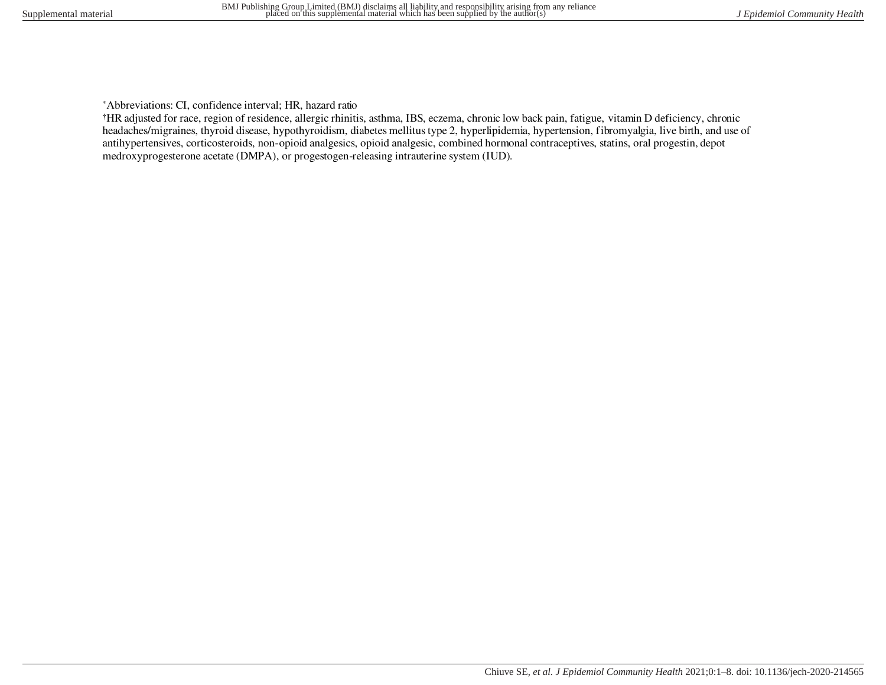\*Abbreviations: CI, confidence interval; HR, hazard ratio

†HR adjusted for race, region of residence, allergic rhinitis, asthma, IBS, eczema, chronic low back pain, fatigue, vitamin D deficiency, chronic headaches/migraines, thyroid disease, hypothyroidism, diabetes mellitus type 2, hyperlipidemia, hypertension, fibromyalgia, live birth, and use of antihypertensives, corticosteroids, non-opioid analgesics, opioid analgesic, combined hormonal contraceptives, statins, oral progestin, depot medroxyprogesterone acetate (DMPA), or progestogen-releasing intrauterine system (IUD).